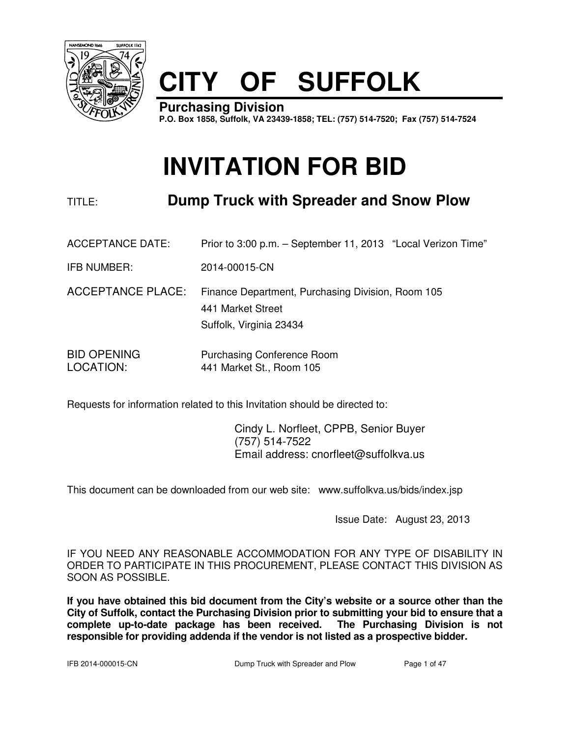

# **CITY OF SUFFOLK**

**Purchasing Division P.O. Box 1858, Suffolk, VA 23439-1858; TEL: (757) 514-7520; Fax (757) 514-7524**

# **INVITATION FOR BID**

# TITLE: **Dump Truck with Spreader and Snow Plow**

ACCEPTANCE DATE: Prior to 3:00 p.m. – September 11, 2013 "Local Verizon Time"

IFB NUMBER: 2014-00015-CN

- ACCEPTANCE PLACE: Finance Department, Purchasing Division, Room 105 441 Market Street Suffolk, Virginia 23434
- BID OPENING Purchasing Conference Room LOCATION: 441 Market St., Room 105

Requests for information related to this Invitation should be directed to:

 Cindy L. Norfleet, CPPB, Senior Buyer (757) 514-7522 Email address: cnorfleet@suffolkva.us

This document can be downloaded from our web site: www.suffolkva.us/bids/index.jsp

Issue Date: August 23, 2013

IF YOU NEED ANY REASONABLE ACCOMMODATION FOR ANY TYPE OF DISABILITY IN ORDER TO PARTICIPATE IN THIS PROCUREMENT, PLEASE CONTACT THIS DIVISION AS SOON AS POSSIBLE.

**If you have obtained this bid document from the City's website or a source other than the City of Suffolk, contact the Purchasing Division prior to submitting your bid to ensure that a complete up-to-date package has been received. The Purchasing Division is not responsible for providing addenda if the vendor is not listed as a prospective bidder.**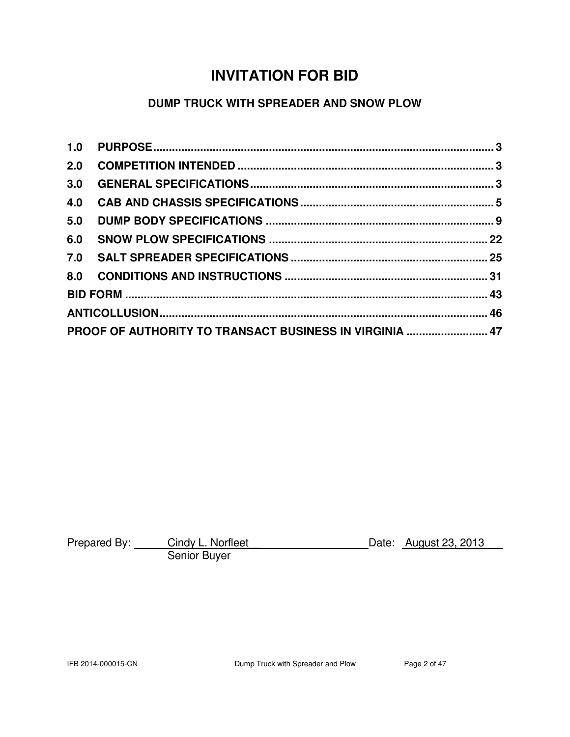# **INVITATION FOR BID**

# **DUMP TRUCK WITH SPREADER AND SNOW PLOW**

| 2.0 |                                                         |  |
|-----|---------------------------------------------------------|--|
| 3.0 |                                                         |  |
| 4.0 |                                                         |  |
| 5.0 |                                                         |  |
| 6.0 |                                                         |  |
|     |                                                         |  |
|     |                                                         |  |
|     |                                                         |  |
|     |                                                         |  |
|     | PROOF OF AUTHORITY TO TRANSACT BUSINESS IN VIRGINIA  47 |  |

| Prepared By: | Cindy L. Norfleet | Date: August 23, 2013 |
|--------------|-------------------|-----------------------|
|              | Senior Buyer      |                       |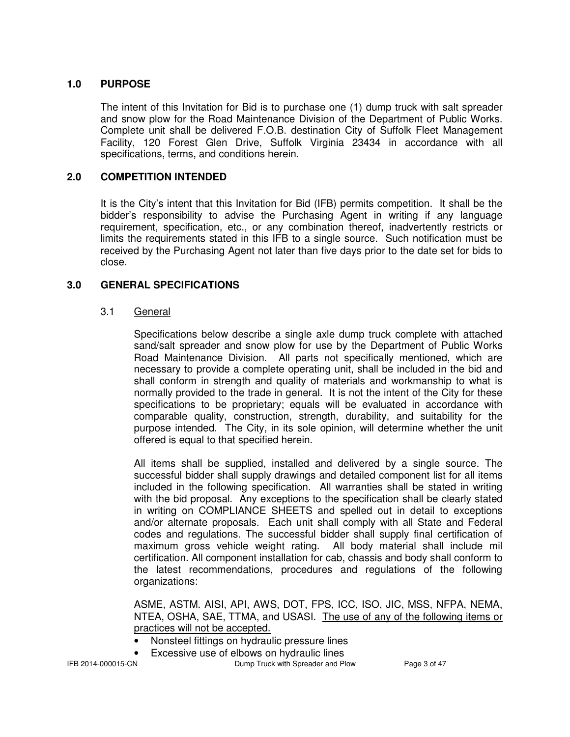### **1.0 PURPOSE**

The intent of this Invitation for Bid is to purchase one (1) dump truck with salt spreader and snow plow for the Road Maintenance Division of the Department of Public Works. Complete unit shall be delivered F.O.B. destination City of Suffolk Fleet Management Facility, 120 Forest Glen Drive, Suffolk Virginia 23434 in accordance with all specifications, terms, and conditions herein.

#### **2.0 COMPETITION INTENDED**

It is the City's intent that this Invitation for Bid (IFB) permits competition. It shall be the bidder's responsibility to advise the Purchasing Agent in writing if any language requirement, specification, etc., or any combination thereof, inadvertently restricts or limits the requirements stated in this IFB to a single source. Such notification must be received by the Purchasing Agent not later than five days prior to the date set for bids to close.

#### **3.0 GENERAL SPECIFICATIONS**

#### 3.1 General

Specifications below describe a single axle dump truck complete with attached sand/salt spreader and snow plow for use by the Department of Public Works Road Maintenance Division. All parts not specifically mentioned, which are necessary to provide a complete operating unit, shall be included in the bid and shall conform in strength and quality of materials and workmanship to what is normally provided to the trade in general. It is not the intent of the City for these specifications to be proprietary; equals will be evaluated in accordance with comparable quality, construction, strength, durability, and suitability for the purpose intended. The City, in its sole opinion, will determine whether the unit offered is equal to that specified herein.

All items shall be supplied, installed and delivered by a single source. The successful bidder shall supply drawings and detailed component list for all items included in the following specification. All warranties shall be stated in writing with the bid proposal. Any exceptions to the specification shall be clearly stated in writing on COMPLIANCE SHEETS and spelled out in detail to exceptions and/or alternate proposals. Each unit shall comply with all State and Federal codes and regulations. The successful bidder shall supply final certification of maximum gross vehicle weight rating. All body material shall include mil certification. All component installation for cab, chassis and body shall conform to the latest recommendations, procedures and regulations of the following organizations:

ASME, ASTM. AISI, API, AWS, DOT, FPS, ICC, ISO, JIC, MSS, NFPA, NEMA, NTEA, OSHA, SAE, TTMA, and USASI. The use of any of the following items or practices will not be accepted.

- Nonsteel fittings on hydraulic pressure lines
	- Excessive use of elbows on hydraulic lines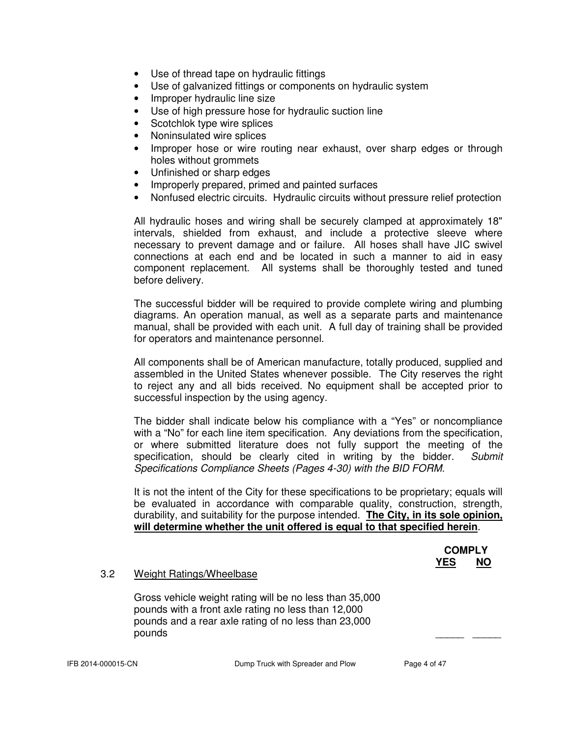- Use of thread tape on hydraulic fittings
- Use of galvanized fittings or components on hydraulic system
- Improper hydraulic line size
- Use of high pressure hose for hydraulic suction line
- Scotchlok type wire splices
- Noninsulated wire splices
- Improper hose or wire routing near exhaust, over sharp edges or through holes without grommets
- Unfinished or sharp edges
- Improperly prepared, primed and painted surfaces
- Nonfused electric circuits. Hydraulic circuits without pressure relief protection

All hydraulic hoses and wiring shall be securely clamped at approximately 18" intervals, shielded from exhaust, and include a protective sleeve where necessary to prevent damage and or failure. All hoses shall have JIC swivel connections at each end and be located in such a manner to aid in easy component replacement. All systems shall be thoroughly tested and tuned before delivery.

The successful bidder will be required to provide complete wiring and plumbing diagrams. An operation manual, as well as a separate parts and maintenance manual, shall be provided with each unit. A full day of training shall be provided for operators and maintenance personnel.

All components shall be of American manufacture, totally produced, supplied and assembled in the United States whenever possible. The City reserves the right to reject any and all bids received. No equipment shall be accepted prior to successful inspection by the using agency.

The bidder shall indicate below his compliance with a "Yes" or noncompliance with a "No" for each line item specification. Any deviations from the specification, or where submitted literature does not fully support the meeting of the specification, should be clearly cited in writing by the bidder. Submit Specifications Compliance Sheets (Pages 4-30) with the BID FORM.

It is not the intent of the City for these specifications to be proprietary; equals will be evaluated in accordance with comparable quality, construction, strength, durability, and suitability for the purpose intended. **The City, in its sole opinion, will determine whether the unit offered is equal to that specified herein**.

# **COMPLY** *YES* NO

#### 3.2 Weight Ratings/Wheelbase

Gross vehicle weight rating will be no less than 35,000 pounds with a front axle rating no less than 12,000 pounds and a rear axle rating of no less than 23,000 pounds \_\_\_\_\_ \_\_\_\_\_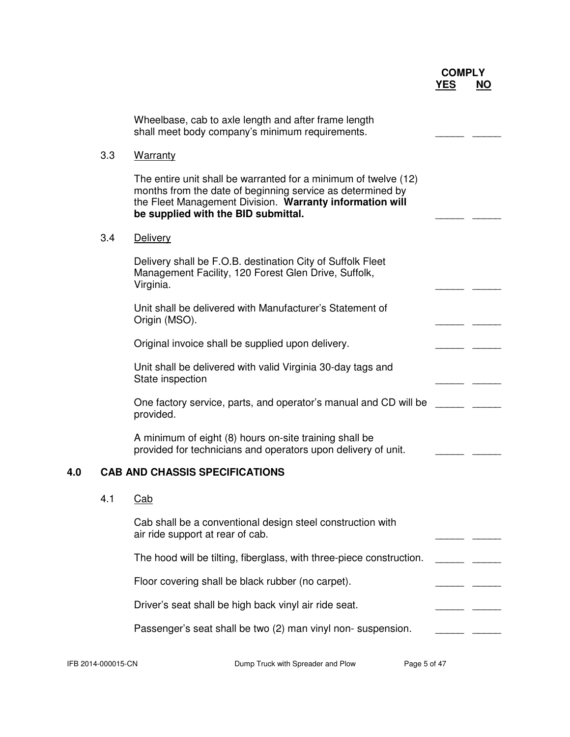|     |     | Wheelbase, cab to axle length and after frame length<br>shall meet body company's minimum requirements.                                                                                                                          |  |
|-----|-----|----------------------------------------------------------------------------------------------------------------------------------------------------------------------------------------------------------------------------------|--|
|     | 3.3 | <b>Warranty</b>                                                                                                                                                                                                                  |  |
|     |     | The entire unit shall be warranted for a minimum of twelve (12)<br>months from the date of beginning service as determined by<br>the Fleet Management Division. Warranty information will<br>be supplied with the BID submittal. |  |
|     | 3.4 | Delivery                                                                                                                                                                                                                         |  |
|     |     | Delivery shall be F.O.B. destination City of Suffolk Fleet<br>Management Facility, 120 Forest Glen Drive, Suffolk,<br>Virginia.                                                                                                  |  |
|     |     | Unit shall be delivered with Manufacturer's Statement of<br>Origin (MSO).                                                                                                                                                        |  |
|     |     | Original invoice shall be supplied upon delivery.                                                                                                                                                                                |  |
|     |     | Unit shall be delivered with valid Virginia 30-day tags and<br>State inspection                                                                                                                                                  |  |
|     |     | One factory service, parts, and operator's manual and CD will be<br>provided.                                                                                                                                                    |  |
|     |     | A minimum of eight (8) hours on-site training shall be<br>provided for technicians and operators upon delivery of unit.                                                                                                          |  |
| 4.0 |     | <b>CAB AND CHASSIS SPECIFICATIONS</b>                                                                                                                                                                                            |  |
|     | 4.1 | Cab                                                                                                                                                                                                                              |  |
|     |     | Cab shall be a conventional design steel construction with<br>air ride support at rear of cab.                                                                                                                                   |  |
|     |     | The hood will be tilting, fiberglass, with three-piece construction.                                                                                                                                                             |  |
|     |     | Floor covering shall be black rubber (no carpet).                                                                                                                                                                                |  |
|     |     | Driver's seat shall be high back vinyl air ride seat.                                                                                                                                                                            |  |
|     |     | Passenger's seat shall be two (2) man vinyl non-suspension.                                                                                                                                                                      |  |

IFB 2014-000015-CN Dump Truck with Spreader and Plow Page 5 of 47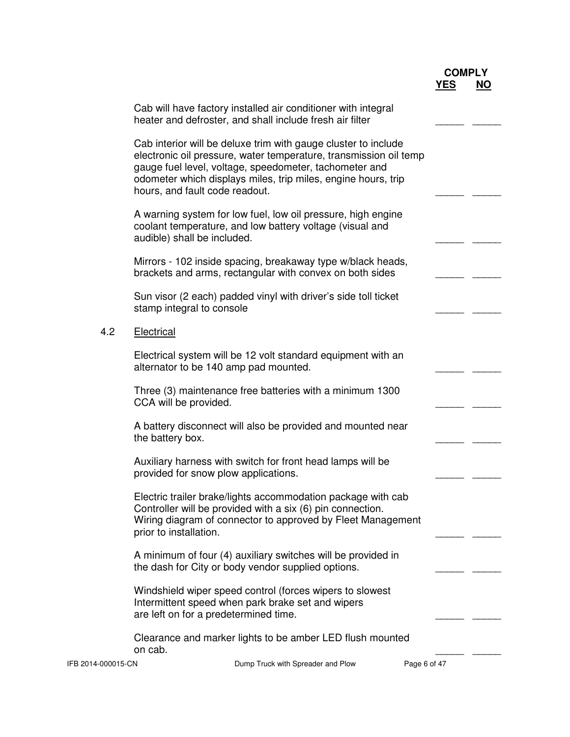|                    | Cab will have factory installed air conditioner with integral<br>heater and defroster, and shall include fresh air filter                                                                                                                                                                        |              |  |
|--------------------|--------------------------------------------------------------------------------------------------------------------------------------------------------------------------------------------------------------------------------------------------------------------------------------------------|--------------|--|
|                    | Cab interior will be deluxe trim with gauge cluster to include<br>electronic oil pressure, water temperature, transmission oil temp<br>gauge fuel level, voltage, speedometer, tachometer and<br>odometer which displays miles, trip miles, engine hours, trip<br>hours, and fault code readout. |              |  |
|                    | A warning system for low fuel, low oil pressure, high engine<br>coolant temperature, and low battery voltage (visual and<br>audible) shall be included.                                                                                                                                          |              |  |
|                    | Mirrors - 102 inside spacing, breakaway type w/black heads,<br>brackets and arms, rectangular with convex on both sides                                                                                                                                                                          |              |  |
|                    | Sun visor (2 each) padded vinyl with driver's side toll ticket<br>stamp integral to console                                                                                                                                                                                                      |              |  |
| 4.2                | Electrical                                                                                                                                                                                                                                                                                       |              |  |
|                    | Electrical system will be 12 volt standard equipment with an<br>alternator to be 140 amp pad mounted.                                                                                                                                                                                            |              |  |
|                    | Three (3) maintenance free batteries with a minimum 1300<br>CCA will be provided.                                                                                                                                                                                                                |              |  |
|                    | A battery disconnect will also be provided and mounted near<br>the battery box.                                                                                                                                                                                                                  |              |  |
|                    | Auxiliary harness with switch for front head lamps will be<br>provided for snow plow applications.                                                                                                                                                                                               |              |  |
|                    | Electric trailer brake/lights accommodation package with cab<br>Controller will be provided with a six (6) pin connection.<br>Wiring diagram of connector to approved by Fleet Management<br>prior to installation.                                                                              |              |  |
|                    | A minimum of four (4) auxiliary switches will be provided in<br>the dash for City or body vendor supplied options.                                                                                                                                                                               |              |  |
|                    | Windshield wiper speed control (forces wipers to slowest<br>Intermittent speed when park brake set and wipers<br>are left on for a predetermined time.                                                                                                                                           |              |  |
|                    | Clearance and marker lights to be amber LED flush mounted<br>on cab.                                                                                                                                                                                                                             |              |  |
| IFB 2014-000015-CN | Dump Truck with Spreader and Plow                                                                                                                                                                                                                                                                | Page 6 of 47 |  |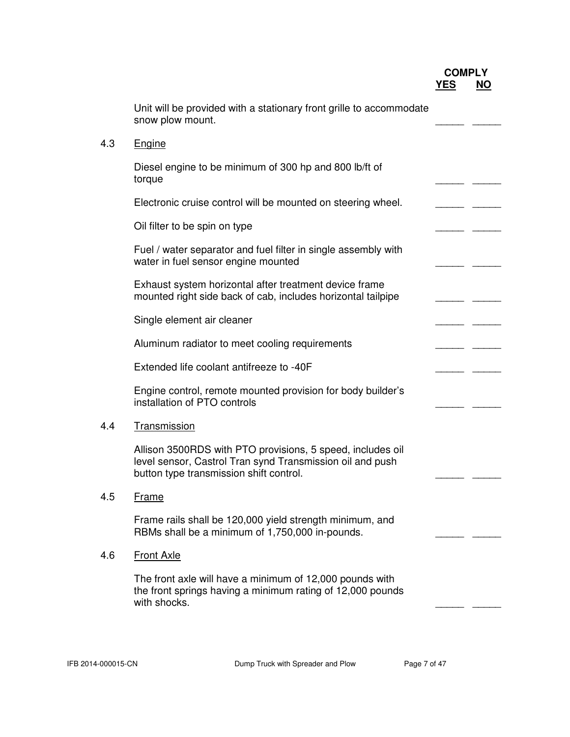|     | Unit will be provided with a stationary front grille to accommodate<br>snow plow mount.                                                                            |  |
|-----|--------------------------------------------------------------------------------------------------------------------------------------------------------------------|--|
| 4.3 | Engine                                                                                                                                                             |  |
|     | Diesel engine to be minimum of 300 hp and 800 lb/ft of<br>torque                                                                                                   |  |
|     | Electronic cruise control will be mounted on steering wheel.                                                                                                       |  |
|     | Oil filter to be spin on type                                                                                                                                      |  |
|     | Fuel / water separator and fuel filter in single assembly with<br>water in fuel sensor engine mounted                                                              |  |
|     | Exhaust system horizontal after treatment device frame<br>mounted right side back of cab, includes horizontal tailpipe                                             |  |
|     | Single element air cleaner                                                                                                                                         |  |
|     | Aluminum radiator to meet cooling requirements                                                                                                                     |  |
|     | Extended life coolant antifreeze to -40F                                                                                                                           |  |
|     | Engine control, remote mounted provision for body builder's<br>installation of PTO controls                                                                        |  |
| 4.4 | Transmission                                                                                                                                                       |  |
|     | Allison 3500RDS with PTO provisions, 5 speed, includes oil<br>level sensor, Castrol Tran synd Transmission oil and push<br>button type transmission shift control. |  |
| 4.5 | <b>Frame</b>                                                                                                                                                       |  |
|     | Frame rails shall be 120,000 yield strength minimum, and<br>RBMs shall be a minimum of 1,750,000 in-pounds.                                                        |  |
| 4.6 | <b>Front Axle</b>                                                                                                                                                  |  |
|     | The front axle will have a minimum of 12,000 pounds with<br>the front springs having a minimum rating of 12,000 pounds<br>with shocks.                             |  |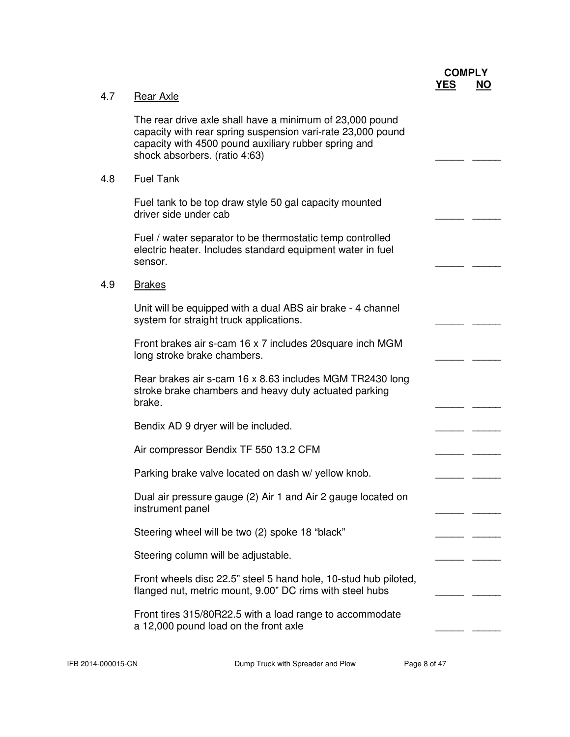|     |                                                                                                                                                                                                                  | <b>COMPLY</b> |           |
|-----|------------------------------------------------------------------------------------------------------------------------------------------------------------------------------------------------------------------|---------------|-----------|
| 4.7 | Rear Axle                                                                                                                                                                                                        | <b>YES</b>    | <b>NO</b> |
|     | The rear drive axle shall have a minimum of 23,000 pound<br>capacity with rear spring suspension vari-rate 23,000 pound<br>capacity with 4500 pound auxiliary rubber spring and<br>shock absorbers. (ratio 4:63) |               |           |
| 4.8 | <b>Fuel Tank</b>                                                                                                                                                                                                 |               |           |
|     | Fuel tank to be top draw style 50 gal capacity mounted<br>driver side under cab                                                                                                                                  |               |           |
|     | Fuel / water separator to be thermostatic temp controlled<br>electric heater. Includes standard equipment water in fuel<br>sensor.                                                                               |               |           |
| 4.9 | <b>Brakes</b>                                                                                                                                                                                                    |               |           |
|     | Unit will be equipped with a dual ABS air brake - 4 channel<br>system for straight truck applications.                                                                                                           |               |           |
|     | Front brakes air s-cam 16 x 7 includes 20 square inch MGM<br>long stroke brake chambers.                                                                                                                         |               |           |
|     | Rear brakes air s-cam 16 x 8.63 includes MGM TR2430 long<br>stroke brake chambers and heavy duty actuated parking<br>brake.                                                                                      |               |           |
|     | Bendix AD 9 dryer will be included.                                                                                                                                                                              |               |           |
|     | Air compressor Bendix TF 550 13.2 CFM                                                                                                                                                                            |               |           |
|     | Parking brake valve located on dash w/ yellow knob.                                                                                                                                                              |               |           |
|     | Dual air pressure gauge (2) Air 1 and Air 2 gauge located on<br>instrument panel                                                                                                                                 |               |           |
|     | Steering wheel will be two (2) spoke 18 "black"                                                                                                                                                                  |               |           |
|     | Steering column will be adjustable.                                                                                                                                                                              |               |           |
|     | Front wheels disc 22.5" steel 5 hand hole, 10-stud hub piloted,<br>flanged nut, metric mount, 9.00" DC rims with steel hubs                                                                                      |               |           |
|     | Front tires 315/80R22.5 with a load range to accommodate<br>a 12,000 pound load on the front axle                                                                                                                |               |           |
|     |                                                                                                                                                                                                                  |               |           |

IFB 2014-000015-CN Dump Truck with Spreader and Plow Page 8 of 47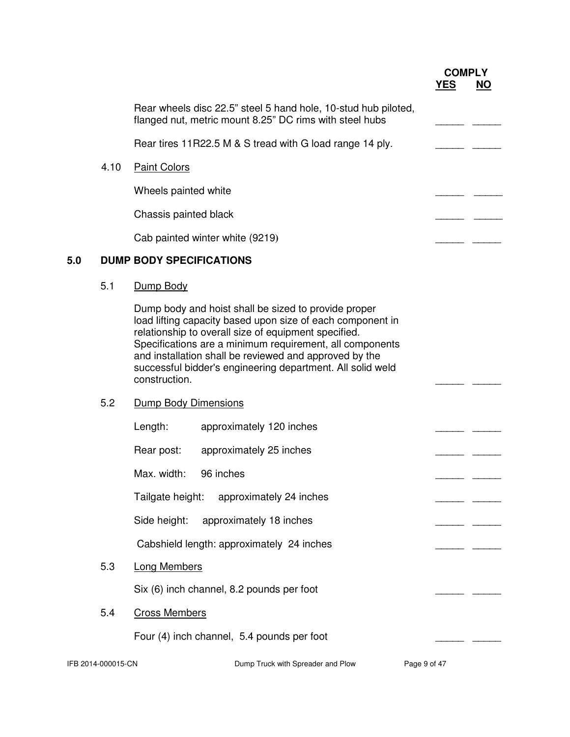# **COMPLY**<br><u>YES NO</u> *YES* NO

|     |                    | Rear wheels disc 22.5" steel 5 hand hole, 10-stud hub piloted,<br>flanged nut, metric mount 8.25" DC rims with steel hubs                                                                                                                                                                                                                                                       |              |  |
|-----|--------------------|---------------------------------------------------------------------------------------------------------------------------------------------------------------------------------------------------------------------------------------------------------------------------------------------------------------------------------------------------------------------------------|--------------|--|
|     |                    | Rear tires 11R22.5 M & S tread with G load range 14 ply.                                                                                                                                                                                                                                                                                                                        |              |  |
|     | 4.10               | <b>Paint Colors</b>                                                                                                                                                                                                                                                                                                                                                             |              |  |
|     |                    | Wheels painted white                                                                                                                                                                                                                                                                                                                                                            |              |  |
|     |                    | Chassis painted black                                                                                                                                                                                                                                                                                                                                                           |              |  |
|     |                    | Cab painted winter white (9219)                                                                                                                                                                                                                                                                                                                                                 |              |  |
| 5.0 |                    | <b>DUMP BODY SPECIFICATIONS</b>                                                                                                                                                                                                                                                                                                                                                 |              |  |
|     | 5.1                | Dump Body                                                                                                                                                                                                                                                                                                                                                                       |              |  |
|     |                    | Dump body and hoist shall be sized to provide proper<br>load lifting capacity based upon size of each component in<br>relationship to overall size of equipment specified.<br>Specifications are a minimum requirement, all components<br>and installation shall be reviewed and approved by the<br>successful bidder's engineering department. All solid weld<br>construction. |              |  |
|     | 5.2                | Dump Body Dimensions                                                                                                                                                                                                                                                                                                                                                            |              |  |
|     |                    | Length:<br>approximately 120 inches                                                                                                                                                                                                                                                                                                                                             |              |  |
|     |                    | Rear post:<br>approximately 25 inches                                                                                                                                                                                                                                                                                                                                           |              |  |
|     |                    | Max. width:<br>96 inches                                                                                                                                                                                                                                                                                                                                                        |              |  |
|     |                    | Tailgate height:<br>approximately 24 inches                                                                                                                                                                                                                                                                                                                                     |              |  |
|     |                    | Side height:<br>approximately 18 inches                                                                                                                                                                                                                                                                                                                                         |              |  |
|     |                    | Cabshield length: approximately 24 inches                                                                                                                                                                                                                                                                                                                                       |              |  |
|     | 5.3                | <b>Long Members</b>                                                                                                                                                                                                                                                                                                                                                             |              |  |
|     |                    | Six (6) inch channel, 8.2 pounds per foot                                                                                                                                                                                                                                                                                                                                       |              |  |
|     | 5.4                | <b>Cross Members</b>                                                                                                                                                                                                                                                                                                                                                            |              |  |
|     |                    | Four (4) inch channel, 5.4 pounds per foot                                                                                                                                                                                                                                                                                                                                      |              |  |
|     | IFB 2014-000015-CN | Dump Truck with Spreader and Plow                                                                                                                                                                                                                                                                                                                                               | Page 9 of 47 |  |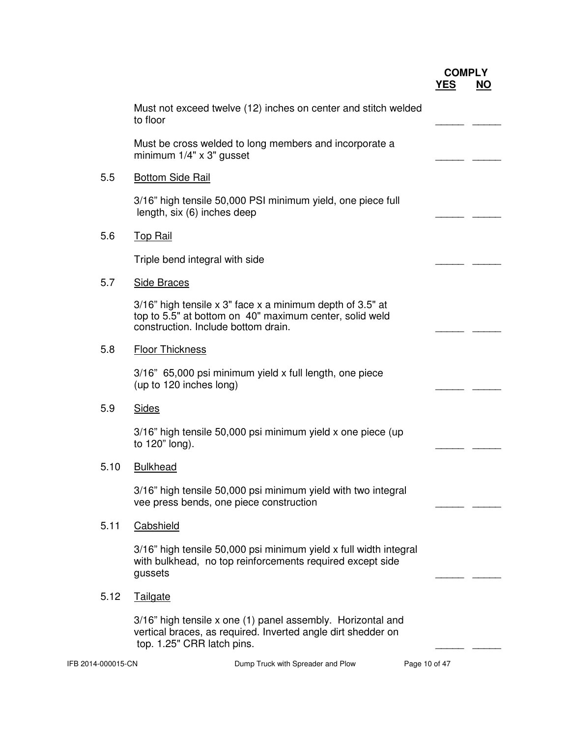| <b>COMPLY</b> |           |
|---------------|-----------|
| <b>YES</b>    | <b>NO</b> |

|                    | Must not exceed twelve (12) inches on center and stitch welded<br>to floor                                                                                  |               |  |
|--------------------|-------------------------------------------------------------------------------------------------------------------------------------------------------------|---------------|--|
|                    | Must be cross welded to long members and incorporate a<br>minimum $1/4" \times 3"$ gusset                                                                   |               |  |
| 5.5                | <b>Bottom Side Rail</b>                                                                                                                                     |               |  |
|                    | 3/16" high tensile 50,000 PSI minimum yield, one piece full<br>length, six (6) inches deep                                                                  |               |  |
| 5.6                | <b>Top Rail</b>                                                                                                                                             |               |  |
|                    | Triple bend integral with side                                                                                                                              |               |  |
| 5.7                | <b>Side Braces</b>                                                                                                                                          |               |  |
|                    | 3/16" high tensile x 3" face x a minimum depth of 3.5" at<br>top to 5.5" at bottom on 40" maximum center, solid weld<br>construction. Include bottom drain. |               |  |
| 5.8                | <b>Floor Thickness</b>                                                                                                                                      |               |  |
|                    | 3/16" 65,000 psi minimum yield x full length, one piece<br>(up to 120 inches long)                                                                          |               |  |
| 5.9                | <b>Sides</b>                                                                                                                                                |               |  |
|                    | 3/16" high tensile 50,000 psi minimum yield x one piece (up<br>to 120" long).                                                                               |               |  |
| 5.10               | <b>Bulkhead</b>                                                                                                                                             |               |  |
|                    | 3/16" high tensile 50,000 psi minimum yield with two integral<br>vee press bends, one piece construction                                                    |               |  |
| 5.11               | Cabshield                                                                                                                                                   |               |  |
|                    | 3/16" high tensile 50,000 psi minimum yield x full width integral<br>with bulkhead, no top reinforcements required except side<br>gussets                   |               |  |
| 5.12               | <b>Tailgate</b>                                                                                                                                             |               |  |
|                    | 3/16" high tensile x one (1) panel assembly. Horizontal and<br>vertical braces, as required. Inverted angle dirt shedder on<br>top. 1.25" CRR latch pins.   |               |  |
| IFB 2014-000015-CN | Dump Truck with Spreader and Plow                                                                                                                           | Page 10 of 47 |  |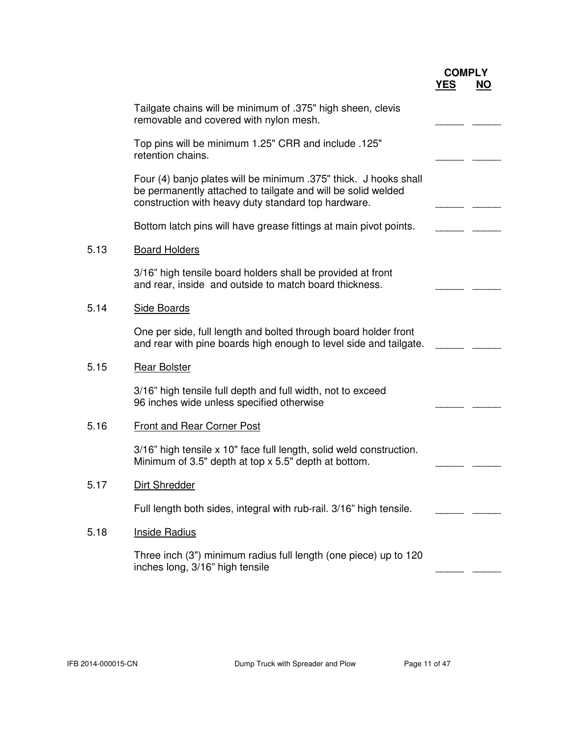|      | Tailgate chains will be minimum of .375" high sheen, clevis<br>removable and covered with nylon mesh.                                                                                   |  |
|------|-----------------------------------------------------------------------------------------------------------------------------------------------------------------------------------------|--|
|      | Top pins will be minimum 1.25" CRR and include .125"<br>retention chains.                                                                                                               |  |
|      | Four (4) banjo plates will be minimum .375" thick. J hooks shall<br>be permanently attached to tailgate and will be solid welded<br>construction with heavy duty standard top hardware. |  |
|      | Bottom latch pins will have grease fittings at main pivot points.                                                                                                                       |  |
| 5.13 | <b>Board Holders</b>                                                                                                                                                                    |  |
|      | 3/16" high tensile board holders shall be provided at front<br>and rear, inside and outside to match board thickness.                                                                   |  |
| 5.14 | <b>Side Boards</b>                                                                                                                                                                      |  |
|      | One per side, full length and bolted through board holder front<br>and rear with pine boards high enough to level side and tailgate.                                                    |  |
| 5.15 | <b>Rear Bolster</b>                                                                                                                                                                     |  |
|      | 3/16" high tensile full depth and full width, not to exceed<br>96 inches wide unless specified otherwise                                                                                |  |
| 5.16 | <b>Front and Rear Corner Post</b>                                                                                                                                                       |  |
|      | 3/16" high tensile x 10" face full length, solid weld construction.<br>Minimum of 3.5" depth at top x 5.5" depth at bottom.                                                             |  |
| 5.17 | Dirt Shredder                                                                                                                                                                           |  |
|      | Full length both sides, integral with rub-rail. 3/16" high tensile.                                                                                                                     |  |
| 5.18 | <b>Inside Radius</b>                                                                                                                                                                    |  |
|      | Three inch (3") minimum radius full length (one piece) up to 120<br>inches long, 3/16" high tensile                                                                                     |  |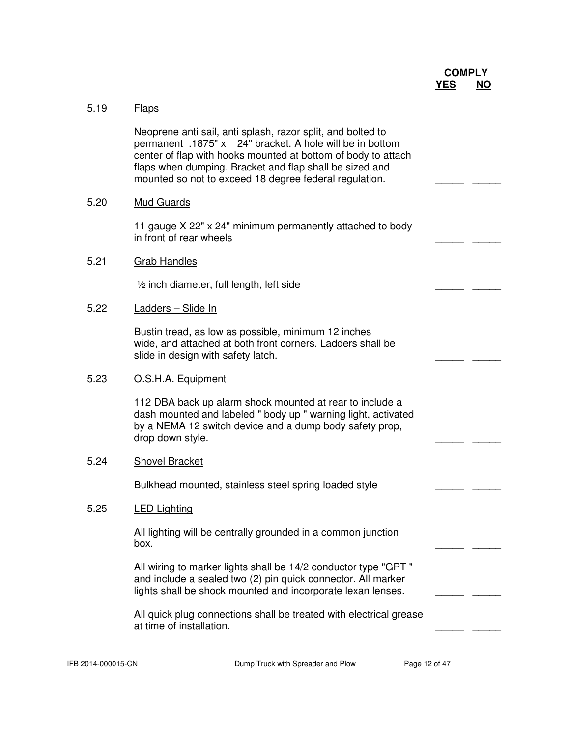

# 5.19 Flaps

 Neoprene anti sail, anti splash, razor split, and bolted to permanent .1875" x 24" bracket. A hole will be in bottom center of flap with hooks mounted at bottom of body to attach flaps when dumping. Bracket and flap shall be sized and mounted so not to exceed 18 degree federal regulation.

#### 5.20 Mud Guards

 11 gauge X 22" x 24" minimum permanently attached to body in front of rear wheels

#### 5.21 Grab Handles

 $\frac{1}{2}$  inch diameter, full length, left side  $\frac{1}{2}$  and  $\frac{1}{2}$  and  $\frac{1}{2}$  and  $\frac{1}{2}$  and  $\frac{1}{2}$  and  $\frac{1}{2}$  and  $\frac{1}{2}$  and  $\frac{1}{2}$  and  $\frac{1}{2}$  and  $\frac{1}{2}$  and  $\frac{1}{2}$  and  $\frac{1}{2}$  and  $\frac{1$ 

#### 5.22 Ladders – Slide In

 Bustin tread, as low as possible, minimum 12 inches wide, and attached at both front corners. Ladders shall be slide in design with safety latch.

#### 5.23 O.S.H.A. Equipment

 112 DBA back up alarm shock mounted at rear to include a dash mounted and labeled " body up " warning light, activated by a NEMA 12 switch device and a dump body safety prop, drop down style.

#### 5.24 Shovel Bracket

Bulkhead mounted, stainless steel spring loaded style

#### 5.25 LED Lighting

 All lighting will be centrally grounded in a common junction box. \_\_\_\_\_ \_\_\_\_\_

> All wiring to marker lights shall be 14/2 conductor type "GPT " and include a sealed two (2) pin quick connector. All marker lights shall be shock mounted and incorporate lexan lenses.

 All quick plug connections shall be treated with electrical grease at time of installation.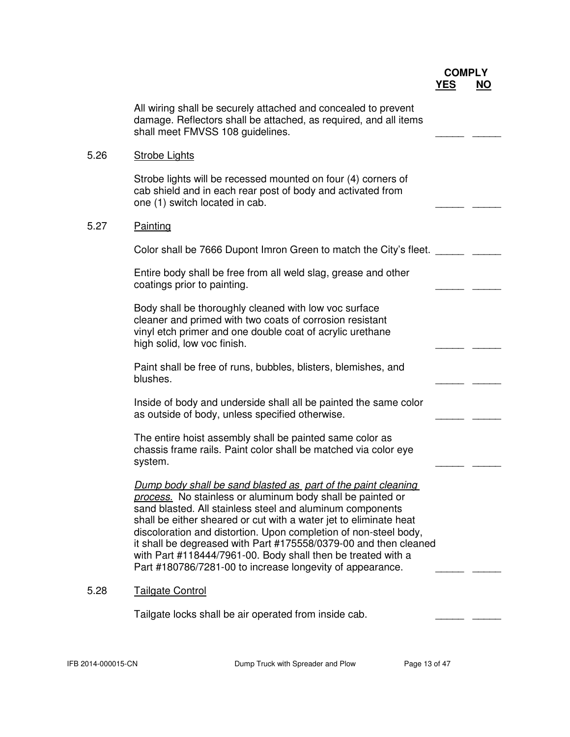|      | All wiring shall be securely attached and concealed to prevent<br>damage. Reflectors shall be attached, as required, and all items<br>shall meet FMVSS 108 guidelines.                                                                                                                                                                                                                                                                                                                                                             |  |
|------|------------------------------------------------------------------------------------------------------------------------------------------------------------------------------------------------------------------------------------------------------------------------------------------------------------------------------------------------------------------------------------------------------------------------------------------------------------------------------------------------------------------------------------|--|
| 5.26 | <b>Strobe Lights</b>                                                                                                                                                                                                                                                                                                                                                                                                                                                                                                               |  |
|      | Strobe lights will be recessed mounted on four (4) corners of<br>cab shield and in each rear post of body and activated from<br>one (1) switch located in cab.                                                                                                                                                                                                                                                                                                                                                                     |  |
| 5.27 | <b>Painting</b>                                                                                                                                                                                                                                                                                                                                                                                                                                                                                                                    |  |
|      | Color shall be 7666 Dupont Imron Green to match the City's fleet.                                                                                                                                                                                                                                                                                                                                                                                                                                                                  |  |
|      | Entire body shall be free from all weld slag, grease and other<br>coatings prior to painting.                                                                                                                                                                                                                                                                                                                                                                                                                                      |  |
|      | Body shall be thoroughly cleaned with low voc surface<br>cleaner and primed with two coats of corrosion resistant<br>vinyl etch primer and one double coat of acrylic urethane<br>high solid, low voc finish.                                                                                                                                                                                                                                                                                                                      |  |
|      | Paint shall be free of runs, bubbles, blisters, blemishes, and<br>blushes.                                                                                                                                                                                                                                                                                                                                                                                                                                                         |  |
|      | Inside of body and underside shall all be painted the same color<br>as outside of body, unless specified otherwise.                                                                                                                                                                                                                                                                                                                                                                                                                |  |
|      | The entire hoist assembly shall be painted same color as<br>chassis frame rails. Paint color shall be matched via color eye<br>system.                                                                                                                                                                                                                                                                                                                                                                                             |  |
|      | Dump body shall be sand blasted as part of the paint cleaning<br>process. No stainless or aluminum body shall be painted or<br>sand blasted. All stainless steel and aluminum components<br>shall be either sheared or cut with a water jet to eliminate heat<br>discoloration and distortion. Upon completion of non-steel body,<br>it shall be degreased with Part #175558/0379-00 and then cleaned<br>with Part #118444/7961-00. Body shall then be treated with a<br>Part #180786/7281-00 to increase longevity of appearance. |  |
| 5.28 | <b>Tailgate Control</b>                                                                                                                                                                                                                                                                                                                                                                                                                                                                                                            |  |
|      | Tailgate locks shall be air operated from inside cab.                                                                                                                                                                                                                                                                                                                                                                                                                                                                              |  |
|      |                                                                                                                                                                                                                                                                                                                                                                                                                                                                                                                                    |  |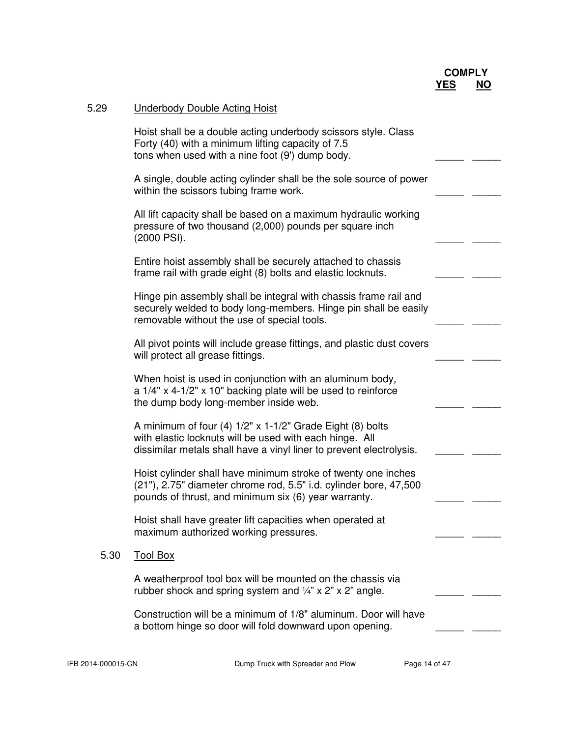| Hoist shall be a double acting underbody scissors style. Class<br>Forty (40) with a minimum lifting capacity of 7.5<br>tons when used with a nine foot (9') dump body.                         |  |
|------------------------------------------------------------------------------------------------------------------------------------------------------------------------------------------------|--|
| A single, double acting cylinder shall be the sole source of power<br>within the scissors tubing frame work.                                                                                   |  |
| All lift capacity shall be based on a maximum hydraulic working<br>pressure of two thousand (2,000) pounds per square inch<br>(2000 PSI).                                                      |  |
| Entire hoist assembly shall be securely attached to chassis<br>frame rail with grade eight (8) bolts and elastic locknuts.                                                                     |  |
| Hinge pin assembly shall be integral with chassis frame rail and<br>securely welded to body long-members. Hinge pin shall be easily<br>removable without the use of special tools.             |  |
| All pivot points will include grease fittings, and plastic dust covers<br>will protect all grease fittings.                                                                                    |  |
| When hoist is used in conjunction with an aluminum body,<br>a 1/4" x 4-1/2" x 10" backing plate will be used to reinforce<br>the dump body long-member inside web.                             |  |
| A minimum of four (4) $1/2$ " x 1-1/2" Grade Eight (8) bolts<br>with elastic locknuts will be used with each hinge. All<br>dissimilar metals shall have a vinyl liner to prevent electrolysis. |  |
| Hoist cylinder shall have minimum stroke of twenty one inches<br>(21"), 2.75" diameter chrome rod, 5.5" i.d. cylinder bore, 47,500<br>pounds of thrust, and minimum six (6) year warranty.     |  |
| Hoist shall have greater lift capacities when operated at<br>maximum authorized working pressures.                                                                                             |  |
| 5.30<br><b>Tool Box</b>                                                                                                                                                                        |  |
| A weatherproof tool box will be mounted on the chassis via<br>rubber shock and spring system and $\frac{1}{4}$ " x 2" x 2" angle.                                                              |  |
| Construction will be a minimum of 1/8" aluminum. Door will have<br>a bottom hinge so door will fold downward upon opening.                                                                     |  |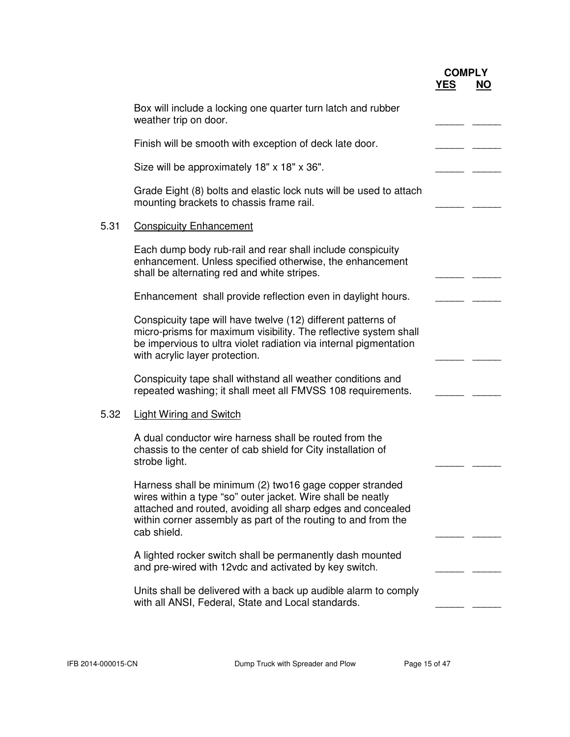|                                                                                                                                                                                                                                                                       | <b>COMPLY</b><br><b>YES</b> | <u>NO</u> |
|-----------------------------------------------------------------------------------------------------------------------------------------------------------------------------------------------------------------------------------------------------------------------|-----------------------------|-----------|
| Box will include a locking one quarter turn latch and rubber<br>weather trip on door.                                                                                                                                                                                 |                             |           |
| Finish will be smooth with exception of deck late door.                                                                                                                                                                                                               |                             |           |
| Size will be approximately 18" x 18" x 36".                                                                                                                                                                                                                           |                             |           |
| Grade Eight (8) bolts and elastic lock nuts will be used to attach<br>mounting brackets to chassis frame rail.                                                                                                                                                        |                             |           |
| 5.31<br><b>Conspicuity Enhancement</b>                                                                                                                                                                                                                                |                             |           |
| Each dump body rub-rail and rear shall include conspicuity<br>enhancement. Unless specified otherwise, the enhancement<br>shall be alternating red and white stripes.                                                                                                 |                             |           |
| Enhancement shall provide reflection even in daylight hours.                                                                                                                                                                                                          |                             |           |
| Conspicuity tape will have twelve (12) different patterns of<br>micro-prisms for maximum visibility. The reflective system shall<br>be impervious to ultra violet radiation via internal pigmentation<br>with acrylic layer protection.                               |                             |           |
| Conspicuity tape shall withstand all weather conditions and<br>repeated washing; it shall meet all FMVSS 108 requirements.                                                                                                                                            |                             |           |
| 5.32<br><b>Light Wiring and Switch</b>                                                                                                                                                                                                                                |                             |           |
| A dual conductor wire harness shall be routed from the<br>chassis to the center of cab shield for City installation of<br>strobe light.                                                                                                                               |                             |           |
| Harness shall be minimum (2) two16 gage copper stranded<br>wires within a type "so" outer jacket. Wire shall be neatly<br>attached and routed, avoiding all sharp edges and concealed<br>within corner assembly as part of the routing to and from the<br>cab shield. |                             |           |
| A lighted rocker switch shall be permanently dash mounted<br>and pre-wired with 12vdc and activated by key switch.                                                                                                                                                    |                             |           |
| Units shall be delivered with a back up audible alarm to comply<br>with all ANSI, Federal, State and Local standards.                                                                                                                                                 |                             |           |
|                                                                                                                                                                                                                                                                       |                             |           |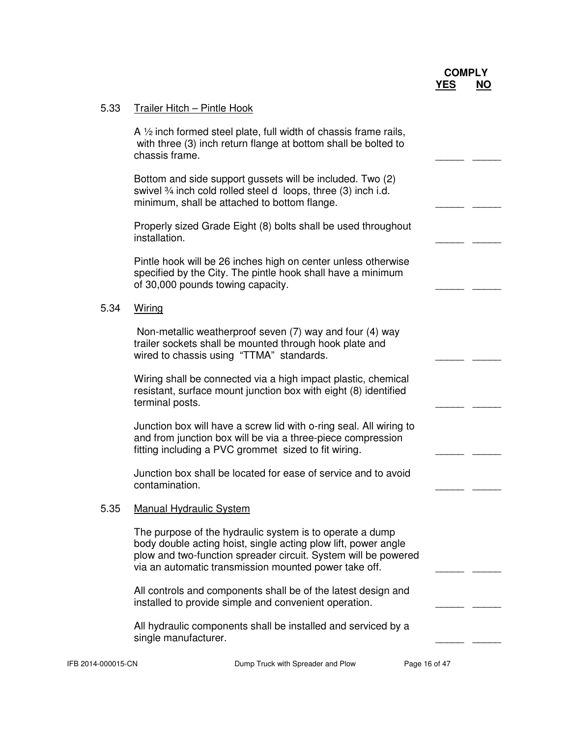| 5.33 | Trailer Hitch - Pintle Hook                                                                                                                                                                                                                           |  |
|------|-------------------------------------------------------------------------------------------------------------------------------------------------------------------------------------------------------------------------------------------------------|--|
|      | A $\frac{1}{2}$ inch formed steel plate, full width of chassis frame rails,<br>with three (3) inch return flange at bottom shall be bolted to<br>chassis frame.                                                                                       |  |
|      | Bottom and side support gussets will be included. Two (2)<br>swivel 3/4 inch cold rolled steel d loops, three (3) inch i.d.<br>minimum, shall be attached to bottom flange.                                                                           |  |
|      | Properly sized Grade Eight (8) bolts shall be used throughout<br>installation.                                                                                                                                                                        |  |
|      | Pintle hook will be 26 inches high on center unless otherwise<br>specified by the City. The pintle hook shall have a minimum<br>of 30,000 pounds towing capacity.                                                                                     |  |
| 5.34 | Wiring                                                                                                                                                                                                                                                |  |
|      | Non-metallic weatherproof seven (7) way and four (4) way<br>trailer sockets shall be mounted through hook plate and<br>wired to chassis using "TTMA" standards.                                                                                       |  |
|      | Wiring shall be connected via a high impact plastic, chemical<br>resistant, surface mount junction box with eight (8) identified<br>terminal posts.                                                                                                   |  |
|      | Junction box will have a screw lid with o-ring seal. All wiring to<br>and from junction box will be via a three-piece compression<br>fitting including a PVC grommet sized to fit wiring.                                                             |  |
|      | Junction box shall be located for ease of service and to avoid<br>contamination.                                                                                                                                                                      |  |
| 5.35 | <b>Manual Hydraulic System</b>                                                                                                                                                                                                                        |  |
|      | The purpose of the hydraulic system is to operate a dump<br>body double acting hoist, single acting plow lift, power angle<br>plow and two-function spreader circuit. System will be powered<br>via an automatic transmission mounted power take off. |  |
|      | All controls and components shall be of the latest design and<br>installed to provide simple and convenient operation.                                                                                                                                |  |
|      | All hydraulic components shall be installed and serviced by a<br>single manufacturer.                                                                                                                                                                 |  |
|      |                                                                                                                                                                                                                                                       |  |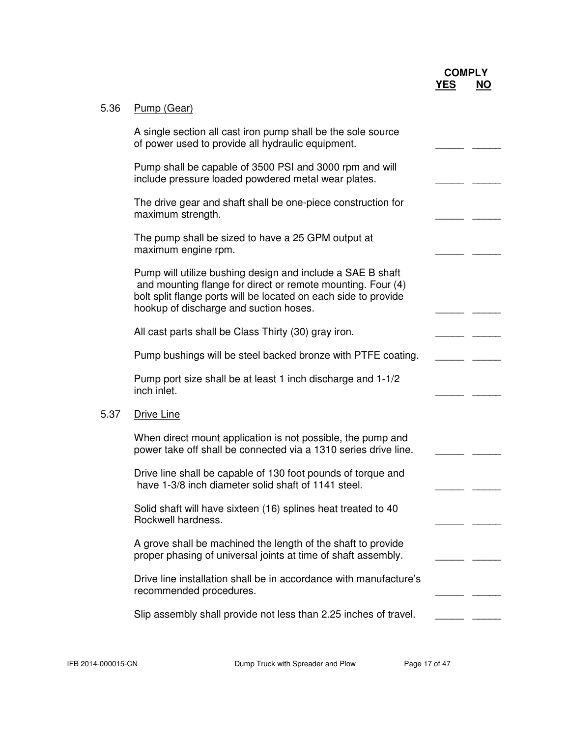| 5.36 | Pump (Gear)                                                                                                                                                                                                                            |  |
|------|----------------------------------------------------------------------------------------------------------------------------------------------------------------------------------------------------------------------------------------|--|
|      | A single section all cast iron pump shall be the sole source<br>of power used to provide all hydraulic equipment.                                                                                                                      |  |
|      | Pump shall be capable of 3500 PSI and 3000 rpm and will<br>include pressure loaded powdered metal wear plates.                                                                                                                         |  |
|      | The drive gear and shaft shall be one-piece construction for<br>maximum strength.                                                                                                                                                      |  |
|      | The pump shall be sized to have a 25 GPM output at<br>maximum engine rpm.                                                                                                                                                              |  |
|      | Pump will utilize bushing design and include a SAE B shaft<br>and mounting flange for direct or remote mounting. Four (4)<br>bolt split flange ports will be located on each side to provide<br>hookup of discharge and suction hoses. |  |
|      | All cast parts shall be Class Thirty (30) gray iron.                                                                                                                                                                                   |  |
|      | Pump bushings will be steel backed bronze with PTFE coating.                                                                                                                                                                           |  |
|      | Pump port size shall be at least 1 inch discharge and 1-1/2<br>inch inlet.                                                                                                                                                             |  |
| 5.37 | <b>Drive Line</b>                                                                                                                                                                                                                      |  |
|      | When direct mount application is not possible, the pump and<br>power take off shall be connected via a 1310 series drive line.                                                                                                         |  |
|      | Drive line shall be capable of 130 foot pounds of torque and<br>have 1-3/8 inch diameter solid shaft of 1141 steel.                                                                                                                    |  |
|      | Solid shaft will have sixteen (16) splines heat treated to 40<br>Rockwell hardness.                                                                                                                                                    |  |
|      | A grove shall be machined the length of the shaft to provide<br>proper phasing of universal joints at time of shaft assembly.                                                                                                          |  |
|      | Drive line installation shall be in accordance with manufacture's<br>recommended procedures.                                                                                                                                           |  |
|      | Slip assembly shall provide not less than 2.25 inches of travel.                                                                                                                                                                       |  |
|      |                                                                                                                                                                                                                                        |  |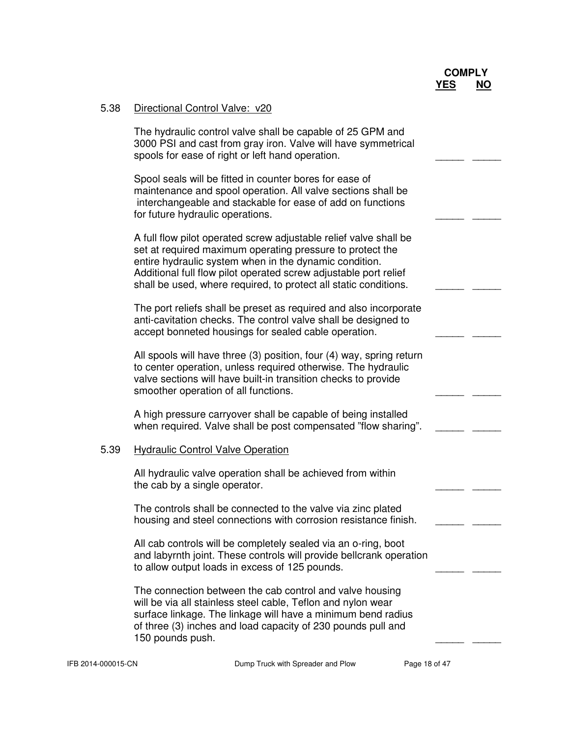| 5.38 | Directional Control Valve: v20                                                                                                                                                                                                                                                                                                   |  |
|------|----------------------------------------------------------------------------------------------------------------------------------------------------------------------------------------------------------------------------------------------------------------------------------------------------------------------------------|--|
|      | The hydraulic control valve shall be capable of 25 GPM and<br>3000 PSI and cast from gray iron. Valve will have symmetrical<br>spools for ease of right or left hand operation.                                                                                                                                                  |  |
|      | Spool seals will be fitted in counter bores for ease of<br>maintenance and spool operation. All valve sections shall be<br>interchangeable and stackable for ease of add on functions<br>for future hydraulic operations.                                                                                                        |  |
|      | A full flow pilot operated screw adjustable relief valve shall be<br>set at required maximum operating pressure to protect the<br>entire hydraulic system when in the dynamic condition.<br>Additional full flow pilot operated screw adjustable port relief<br>shall be used, where required, to protect all static conditions. |  |
|      | The port reliefs shall be preset as required and also incorporate<br>anti-cavitation checks. The control valve shall be designed to<br>accept bonneted housings for sealed cable operation.                                                                                                                                      |  |
|      | All spools will have three (3) position, four (4) way, spring return<br>to center operation, unless required otherwise. The hydraulic<br>valve sections will have built-in transition checks to provide<br>smoother operation of all functions.                                                                                  |  |
|      | A high pressure carryover shall be capable of being installed<br>when required. Valve shall be post compensated "flow sharing".                                                                                                                                                                                                  |  |
| 5.39 | <b>Hydraulic Control Valve Operation</b>                                                                                                                                                                                                                                                                                         |  |
|      | All hydraulic valve operation shall be achieved from within<br>the cab by a single operator.                                                                                                                                                                                                                                     |  |
|      | The controls shall be connected to the valve via zinc plated<br>housing and steel connections with corrosion resistance finish.                                                                                                                                                                                                  |  |
|      | All cab controls will be completely sealed via an o-ring, boot<br>and labyrnth joint. These controls will provide bellcrank operation<br>to allow output loads in excess of 125 pounds.                                                                                                                                          |  |
|      | The connection between the cab control and valve housing<br>will be via all stainless steel cable, Teflon and nylon wear<br>surface linkage. The linkage will have a minimum bend radius<br>of three (3) inches and load capacity of 230 pounds pull and<br>150 pounds push.                                                     |  |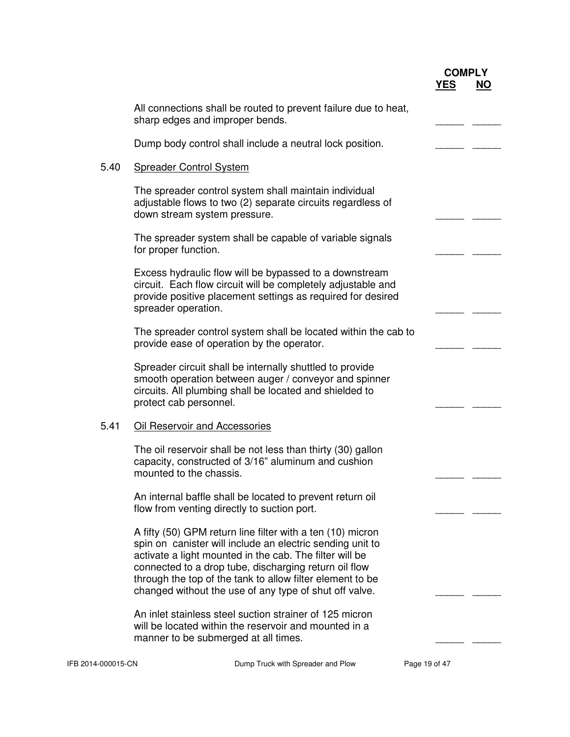|      |                                                                                                                                                                                                                                                                                                                                                                    | <b>COMPLY</b><br><u>YES</u> | <u>NO</u> |
|------|--------------------------------------------------------------------------------------------------------------------------------------------------------------------------------------------------------------------------------------------------------------------------------------------------------------------------------------------------------------------|-----------------------------|-----------|
|      | All connections shall be routed to prevent failure due to heat,<br>sharp edges and improper bends.                                                                                                                                                                                                                                                                 |                             |           |
|      | Dump body control shall include a neutral lock position.                                                                                                                                                                                                                                                                                                           |                             |           |
| 5.40 | <b>Spreader Control System</b>                                                                                                                                                                                                                                                                                                                                     |                             |           |
|      | The spreader control system shall maintain individual<br>adjustable flows to two (2) separate circuits regardless of<br>down stream system pressure.                                                                                                                                                                                                               |                             |           |
|      | The spreader system shall be capable of variable signals<br>for proper function.                                                                                                                                                                                                                                                                                   |                             |           |
|      | Excess hydraulic flow will be bypassed to a downstream<br>circuit. Each flow circuit will be completely adjustable and<br>provide positive placement settings as required for desired<br>spreader operation.                                                                                                                                                       |                             |           |
|      | The spreader control system shall be located within the cab to<br>provide ease of operation by the operator.                                                                                                                                                                                                                                                       |                             |           |
|      | Spreader circuit shall be internally shuttled to provide<br>smooth operation between auger / conveyor and spinner<br>circuits. All plumbing shall be located and shielded to<br>protect cab personnel.                                                                                                                                                             |                             |           |
| 5.41 | Oil Reservoir and Accessories                                                                                                                                                                                                                                                                                                                                      |                             |           |
|      | The oil reservoir shall be not less than thirty (30) gallon<br>capacity, constructed of 3/16" aluminum and cushion<br>mounted to the chassis.                                                                                                                                                                                                                      |                             |           |
|      | An internal baffle shall be located to prevent return oil<br>flow from venting directly to suction port.                                                                                                                                                                                                                                                           |                             |           |
|      | A fifty (50) GPM return line filter with a ten (10) micron<br>spin on canister will include an electric sending unit to<br>activate a light mounted in the cab. The filter will be<br>connected to a drop tube, discharging return oil flow<br>through the top of the tank to allow filter element to be<br>changed without the use of any type of shut off valve. |                             |           |
|      | An inlet stainless steel suction strainer of 125 micron<br>will be located within the reservoir and mounted in a<br>manner to be submerged at all times.                                                                                                                                                                                                           |                             |           |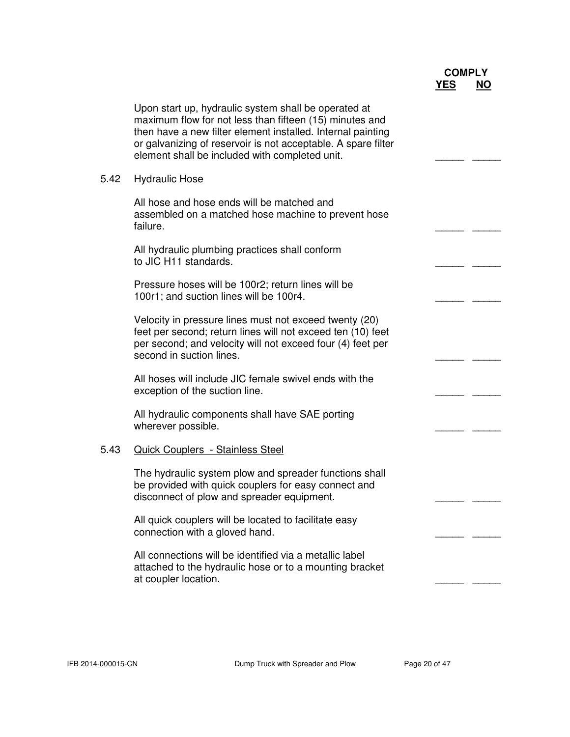|      |                                                                                                                                                                                                                                                                                                   | <b>COMPLY</b> |           |
|------|---------------------------------------------------------------------------------------------------------------------------------------------------------------------------------------------------------------------------------------------------------------------------------------------------|---------------|-----------|
|      |                                                                                                                                                                                                                                                                                                   | <b>YES</b>    | <b>NO</b> |
|      | Upon start up, hydraulic system shall be operated at<br>maximum flow for not less than fifteen (15) minutes and<br>then have a new filter element installed. Internal painting<br>or galvanizing of reservoir is not acceptable. A spare filter<br>element shall be included with completed unit. |               |           |
| 5.42 | <b>Hydraulic Hose</b>                                                                                                                                                                                                                                                                             |               |           |
|      | All hose and hose ends will be matched and<br>assembled on a matched hose machine to prevent hose<br>failure.                                                                                                                                                                                     |               |           |
|      | All hydraulic plumbing practices shall conform<br>to JIC H11 standards.                                                                                                                                                                                                                           |               |           |
|      | Pressure hoses will be 100r2; return lines will be<br>100r1; and suction lines will be 100r4.                                                                                                                                                                                                     |               |           |
|      | Velocity in pressure lines must not exceed twenty (20)<br>feet per second; return lines will not exceed ten (10) feet<br>per second; and velocity will not exceed four (4) feet per<br>second in suction lines.                                                                                   |               |           |
|      | All hoses will include JIC female swivel ends with the<br>exception of the suction line.                                                                                                                                                                                                          |               |           |
|      | All hydraulic components shall have SAE porting<br>wherever possible.                                                                                                                                                                                                                             |               |           |
| 5.43 | <b>Quick Couplers - Stainless Steel</b>                                                                                                                                                                                                                                                           |               |           |
|      | The hydraulic system plow and spreader functions shall<br>be provided with quick couplers for easy connect and<br>disconnect of plow and spreader equipment.                                                                                                                                      |               |           |
|      | All quick couplers will be located to facilitate easy<br>connection with a gloved hand.                                                                                                                                                                                                           |               |           |
|      | All connections will be identified via a metallic label<br>attached to the hydraulic hose or to a mounting bracket<br>at coupler location.                                                                                                                                                        |               |           |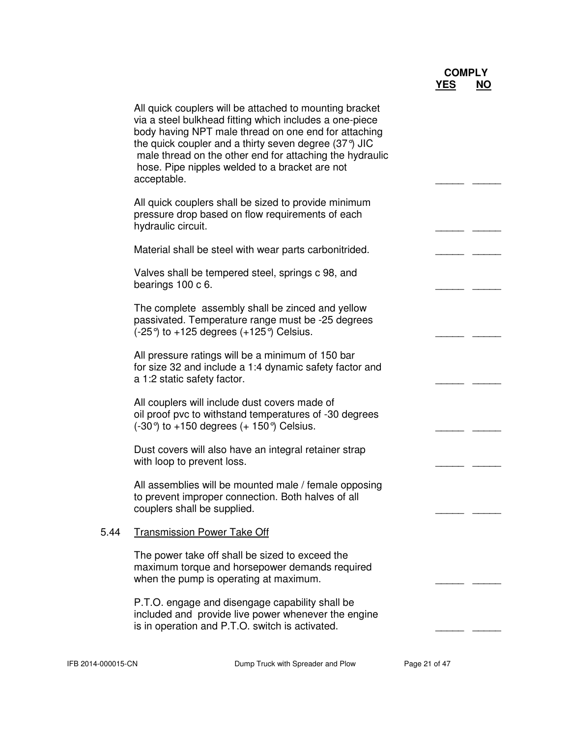|      | All quick couplers will be attached to mounting bracket<br>via a steel bulkhead fitting which includes a one-piece<br>body having NPT male thread on one end for attaching<br>the quick coupler and a thirty seven degree $(37^{\circ})$ JIC<br>male thread on the other end for attaching the hydraulic<br>hose. Pipe nipples welded to a bracket are not<br>acceptable. |  |
|------|---------------------------------------------------------------------------------------------------------------------------------------------------------------------------------------------------------------------------------------------------------------------------------------------------------------------------------------------------------------------------|--|
|      | All quick couplers shall be sized to provide minimum<br>pressure drop based on flow requirements of each<br>hydraulic circuit.                                                                                                                                                                                                                                            |  |
|      | Material shall be steel with wear parts carbonitrided.                                                                                                                                                                                                                                                                                                                    |  |
|      | Valves shall be tempered steel, springs c 98, and<br>bearings 100 c 6.                                                                                                                                                                                                                                                                                                    |  |
|      | The complete assembly shall be zinced and yellow<br>passivated. Temperature range must be -25 degrees<br>$(-25^{\circ})$ to +125 degrees $(+125^{\circ})$ Celsius.                                                                                                                                                                                                        |  |
|      | All pressure ratings will be a minimum of 150 bar<br>for size 32 and include a 1:4 dynamic safety factor and<br>a 1:2 static safety factor.                                                                                                                                                                                                                               |  |
|      | All couplers will include dust covers made of<br>oil proof pvc to withstand temperatures of -30 degrees<br>$(-30^{\circ})$ to +150 degrees $(+ 150^{\circ})$ Celsius.                                                                                                                                                                                                     |  |
|      | Dust covers will also have an integral retainer strap<br>with loop to prevent loss.                                                                                                                                                                                                                                                                                       |  |
|      | All assemblies will be mounted male / female opposing<br>to prevent improper connection. Both halves of all<br>couplers shall be supplied.                                                                                                                                                                                                                                |  |
| 5.44 | <b>Transmission Power Take Off</b>                                                                                                                                                                                                                                                                                                                                        |  |
|      | The power take off shall be sized to exceed the<br>maximum torque and horsepower demands required<br>when the pump is operating at maximum.                                                                                                                                                                                                                               |  |
|      | P.T.O. engage and disengage capability shall be<br>included and provide live power whenever the engine<br>is in operation and P.T.O. switch is activated.                                                                                                                                                                                                                 |  |
|      |                                                                                                                                                                                                                                                                                                                                                                           |  |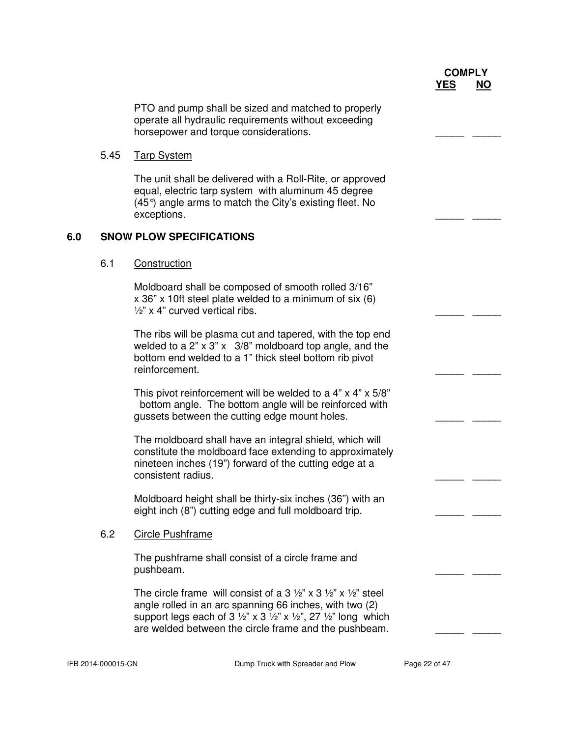PTO and pump shall be sized and matched to properly operate all hydraulic requirements without exceeding horsepower and torque considerations.

#### 5.45 Tarp System

 The unit shall be delivered with a Roll-Rite, or approved equal, electric tarp system with aluminum 45 degree (45°) angle arms to match the City's existing fleet. No exceptions.

#### **6.0 SNOW PLOW SPECIFICATIONS**

#### 6.1 Construction

 Moldboard shall be composed of smooth rolled 3/16" x 36" x 10ft steel plate welded to a minimum of six (6)  $\frac{1}{2}$ " x 4" curved vertical ribs.

 The ribs will be plasma cut and tapered, with the top end welded to a 2" x 3" x 3/8" moldboard top angle, and the bottom end welded to a 1" thick steel bottom rib pivot reinforcement.

This pivot reinforcement will be welded to a  $4" \times 4" \times 5/8"$  bottom angle. The bottom angle will be reinforced with gussets between the cutting edge mount holes.

 The moldboard shall have an integral shield, which will constitute the moldboard face extending to approximately nineteen inches (19") forward of the cutting edge at a consistent radius.

 Moldboard height shall be thirty-six inches (36") with an eight inch (8") cutting edge and full moldboard trip.

#### 6.2 Circle Pushframe

 The pushframe shall consist of a circle frame and pushbeam. \_\_\_\_\_ \_\_\_\_\_

> The circle frame will consist of a 3  $\frac{1}{2}$ " x 3  $\frac{1}{2}$ " x  $\frac{1}{2}$ " steel angle rolled in an arc spanning 66 inches, with two (2) support legs each of  $3\frac{1}{2}$ " x  $3\frac{1}{2}$ " x  $\frac{1}{2}$ ", 27  $\frac{1}{2}$ " long which are welded between the circle frame and the pushbeam.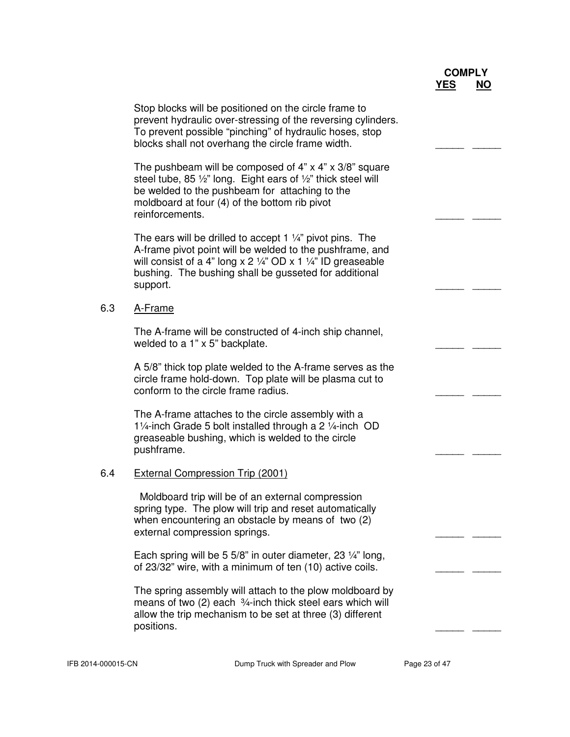|     |                                                                                                                                                                                                                                                                           | <b>COMPLY</b><br><u>YES</u> | <u>NO</u> |
|-----|---------------------------------------------------------------------------------------------------------------------------------------------------------------------------------------------------------------------------------------------------------------------------|-----------------------------|-----------|
|     | Stop blocks will be positioned on the circle frame to<br>prevent hydraulic over-stressing of the reversing cylinders.<br>To prevent possible "pinching" of hydraulic hoses, stop<br>blocks shall not overhang the circle frame width.                                     |                             |           |
|     | The pushbeam will be composed of $4" \times 4" \times 3/8"$ square<br>steel tube, 85 1/2" long. Eight ears of 1/2" thick steel will<br>be welded to the pushbeam for attaching to the<br>moldboard at four (4) of the bottom rib pivot<br>reinforcements.                 |                             |           |
|     | The ears will be drilled to accept 1 $\frac{1}{4}$ " pivot pins. The<br>A-frame pivot point will be welded to the pushframe, and<br>will consist of a 4" long $x$ 2 1/4" OD $x$ 1 1/4" ID greaseable<br>bushing. The bushing shall be gusseted for additional<br>support. |                             |           |
| 6.3 | A-Frame                                                                                                                                                                                                                                                                   |                             |           |
|     | The A-frame will be constructed of 4-inch ship channel,<br>welded to a 1" x 5" backplate.                                                                                                                                                                                 |                             |           |
|     | A 5/8" thick top plate welded to the A-frame serves as the<br>circle frame hold-down. Top plate will be plasma cut to<br>conform to the circle frame radius.                                                                                                              |                             |           |
|     | The A-frame attaches to the circle assembly with a<br>11/ <sub>4</sub> -inch Grade 5 bolt installed through a 2 1/ <sub>4</sub> -inch OD<br>greaseable bushing, which is welded to the circle<br>pushframe.                                                               |                             |           |
| 6.4 | <b>External Compression Trip (2001)</b>                                                                                                                                                                                                                                   |                             |           |
|     | Moldboard trip will be of an external compression<br>spring type. The plow will trip and reset automatically<br>when encountering an obstacle by means of two (2)<br>external compression springs.                                                                        |                             |           |
|     | Each spring will be 5 5/8" in outer diameter, 23 1/4" long,<br>of 23/32" wire, with a minimum of ten (10) active coils.                                                                                                                                                   |                             |           |
|     | The spring assembly will attach to the plow moldboard by<br>means of two $(2)$ each $3/4$ -inch thick steel ears which will<br>allow the trip mechanism to be set at three (3) different<br>positions.                                                                    |                             |           |
|     |                                                                                                                                                                                                                                                                           |                             |           |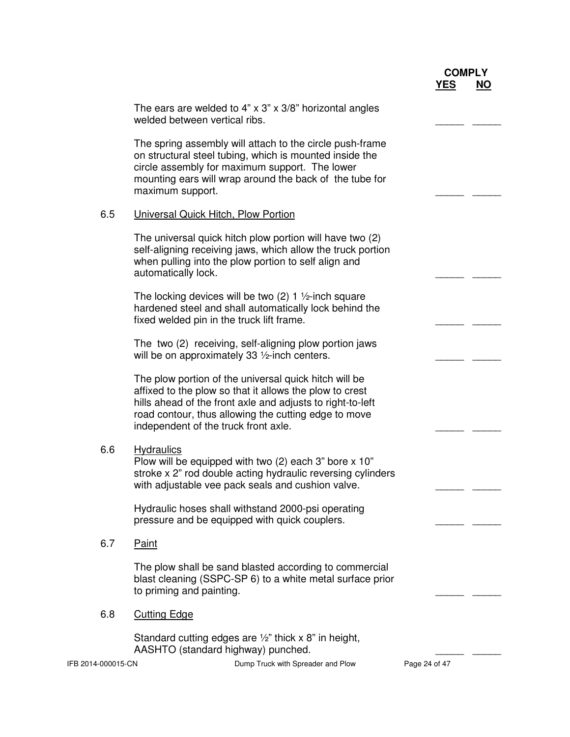| <b>COMPLY</b> |           |
|---------------|-----------|
| <b>YES</b>    | <b>NO</b> |

The ears are welded to 4"  $\times$  3"  $\times$  3/8" horizontal angles welded between vertical ribs. The spring assembly will attach to the circle push-frame on structural steel tubing, which is mounted inside the circle assembly for maximum support. The lower mounting ears will wrap around the back of the tube for maximum support. 6.5 Universal Quick Hitch, Plow Portion The universal quick hitch plow portion will have two (2) self-aligning receiving jaws, which allow the truck portion when pulling into the plow portion to self align and automatically lock. The locking devices will be two  $(2)$  1  $\frac{1}{2}$ -inch square hardened steel and shall automatically lock behind the fixed welded pin in the truck lift frame. The two (2) receiving, self-aligning plow portion jaws will be on approximately 33  $\frac{1}{2}$ -inch centers. The plow portion of the universal quick hitch will be affixed to the plow so that it allows the plow to crest hills ahead of the front axle and adjusts to right-to-left road contour, thus allowing the cutting edge to move independent of the truck front axle. 6.6 Hydraulics Plow will be equipped with two  $(2)$  each 3" bore x 10" stroke x 2" rod double acting hydraulic reversing cylinders with adjustable vee pack seals and cushion valve. Hydraulic hoses shall withstand 2000-psi operating pressure and be equipped with quick couplers. 6.7 Paint The plow shall be sand blasted according to commercial blast cleaning (SSPC-SP 6) to a white metal surface prior to priming and painting. 6.8 Cutting Edge Standard cutting edges are  $\frac{1}{2}$ " thick x 8" in height, AASHTO (standard highway) punched.

IFB 2014-000015-CN Dump Truck with Spreader and Plow Page 24 of 47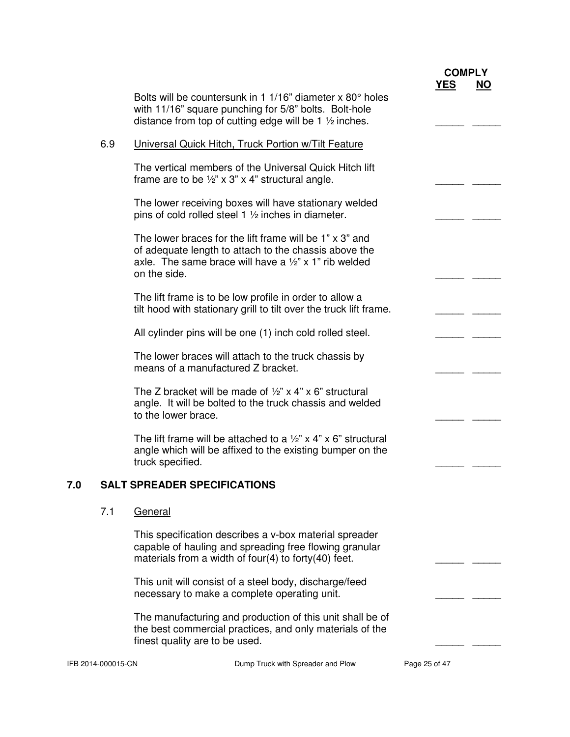|     |                    |                                                                                                                                                                                                             |                                   |               | <b>COMPLY</b> |           |
|-----|--------------------|-------------------------------------------------------------------------------------------------------------------------------------------------------------------------------------------------------------|-----------------------------------|---------------|---------------|-----------|
|     |                    | Bolts will be countersunk in 1 1/16" diameter x 80° holes<br>with 11/16" square punching for 5/8" bolts. Bolt-hole<br>distance from top of cutting edge will be 1 $\frac{1}{2}$ inches.                     |                                   | <b>YES</b>    |               | <b>NO</b> |
|     | 6.9                | Universal Quick Hitch, Truck Portion w/Tilt Feature                                                                                                                                                         |                                   |               |               |           |
|     |                    | The vertical members of the Universal Quick Hitch lift<br>frame are to be $\frac{1}{2}$ " x 3" x 4" structural angle.                                                                                       |                                   |               |               |           |
|     |                    | The lower receiving boxes will have stationary welded<br>pins of cold rolled steel 1 1/2 inches in diameter.                                                                                                |                                   |               |               |           |
|     |                    | The lower braces for the lift frame will be $1" \times 3"$ and<br>of adequate length to attach to the chassis above the<br>axle. The same brace will have a $\frac{1}{2}$ " x 1" rib welded<br>on the side. |                                   |               |               |           |
|     |                    | The lift frame is to be low profile in order to allow a<br>tilt hood with stationary grill to tilt over the truck lift frame.                                                                               |                                   |               |               |           |
|     |                    | All cylinder pins will be one (1) inch cold rolled steel.                                                                                                                                                   |                                   |               |               |           |
|     |                    | The lower braces will attach to the truck chassis by<br>means of a manufactured Z bracket.                                                                                                                  |                                   |               |               |           |
|     |                    | The Z bracket will be made of $\frac{1}{2}$ " x 4" x 6" structural<br>angle. It will be bolted to the truck chassis and welded<br>to the lower brace.                                                       |                                   |               |               |           |
|     |                    | The lift frame will be attached to a $\frac{1}{2}$ " x 4" x 6" structural<br>angle which will be affixed to the existing bumper on the<br>truck specified.                                                  |                                   |               |               |           |
| 7.U |                    | <b>SALT SPREADER SPECIFICATIONS</b>                                                                                                                                                                         |                                   |               |               |           |
|     | 7.1                | General                                                                                                                                                                                                     |                                   |               |               |           |
|     |                    | This specification describes a v-box material spreader<br>capable of hauling and spreading free flowing granular<br>materials from a width of four(4) to forty(40) feet.                                    |                                   |               |               |           |
|     |                    | This unit will consist of a steel body, discharge/feed<br>necessary to make a complete operating unit.                                                                                                      |                                   |               |               |           |
|     |                    | The manufacturing and production of this unit shall be of<br>the best commercial practices, and only materials of the<br>finest quality are to be used.                                                     |                                   |               |               |           |
|     | IFB 2014-000015-CN |                                                                                                                                                                                                             | Dump Truck with Spreader and Plow | Page 25 of 47 |               |           |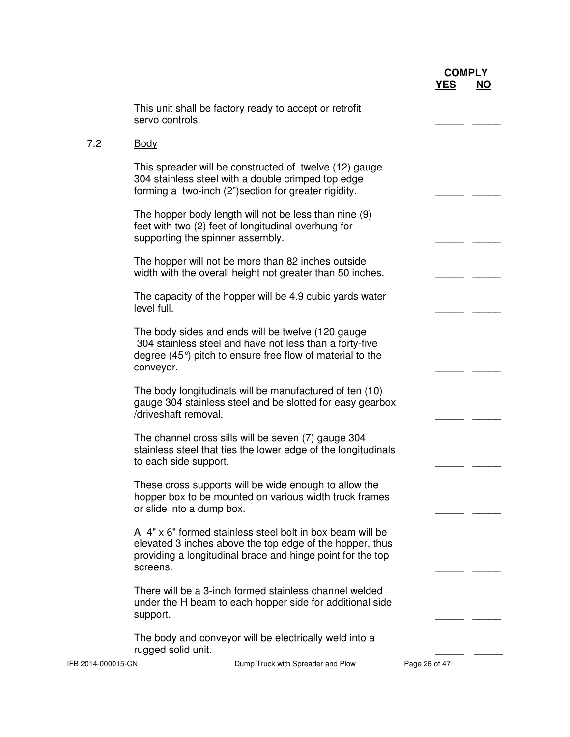|                    | This unit shall be factory ready to accept or retrofit<br>servo controls.                                                                                                                        |               |  |
|--------------------|--------------------------------------------------------------------------------------------------------------------------------------------------------------------------------------------------|---------------|--|
| 7.2                | <u>Body</u>                                                                                                                                                                                      |               |  |
|                    | This spreader will be constructed of twelve (12) gauge<br>304 stainless steel with a double crimped top edge<br>forming a two-inch (2") section for greater rigidity.                            |               |  |
|                    | The hopper body length will not be less than nine (9)<br>feet with two (2) feet of longitudinal overhung for<br>supporting the spinner assembly.                                                 |               |  |
|                    | The hopper will not be more than 82 inches outside<br>width with the overall height not greater than 50 inches.                                                                                  |               |  |
|                    | The capacity of the hopper will be 4.9 cubic yards water<br>level full.                                                                                                                          |               |  |
|                    | The body sides and ends will be twelve (120 gauge)<br>304 stainless steel and have not less than a forty-five<br>degree $(45^{\circ})$ pitch to ensure free flow of material to the<br>conveyor. |               |  |
|                    | The body longitudinals will be manufactured of ten (10)<br>gauge 304 stainless steel and be slotted for easy gearbox<br>/driveshaft removal.                                                     |               |  |
|                    | The channel cross sills will be seven (7) gauge 304<br>stainless steel that ties the lower edge of the longitudinals<br>to each side support.                                                    |               |  |
|                    | These cross supports will be wide enough to allow the<br>hopper box to be mounted on various width truck frames<br>or slide into a dump box.                                                     |               |  |
|                    | A 4" x 6" formed stainless steel bolt in box beam will be<br>elevated 3 inches above the top edge of the hopper, thus<br>providing a longitudinal brace and hinge point for the top<br>screens.  |               |  |
|                    | There will be a 3-inch formed stainless channel welded<br>under the H beam to each hopper side for additional side<br>support.                                                                   |               |  |
|                    | The body and conveyor will be electrically weld into a<br>rugged solid unit.                                                                                                                     |               |  |
| IFB 2014-000015-CN | Dump Truck with Spreader and Plow                                                                                                                                                                | Page 26 of 47 |  |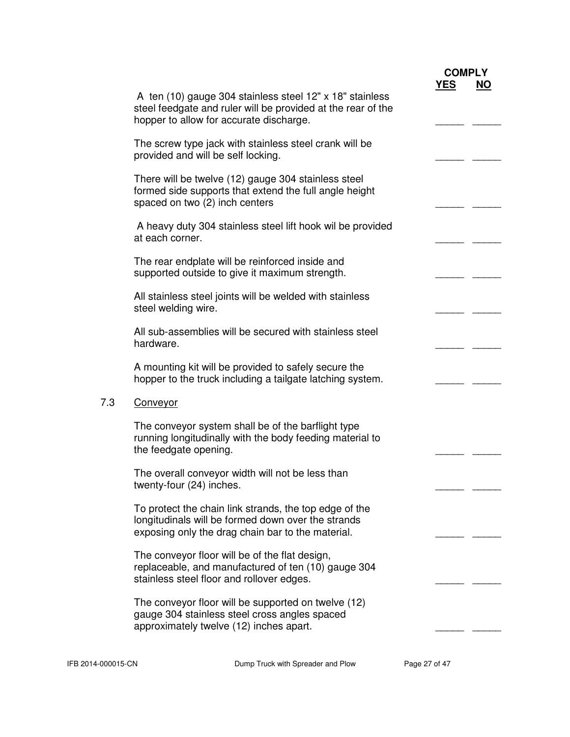|     |                                                                                                                                                                     | <b>COMPLY</b> |           |
|-----|---------------------------------------------------------------------------------------------------------------------------------------------------------------------|---------------|-----------|
|     | A ten (10) gauge 304 stainless steel 12" x 18" stainless<br>steel feedgate and ruler will be provided at the rear of the<br>hopper to allow for accurate discharge. | <b>YES</b>    | <b>NO</b> |
|     | The screw type jack with stainless steel crank will be<br>provided and will be self locking.                                                                        |               |           |
|     | There will be twelve (12) gauge 304 stainless steel<br>formed side supports that extend the full angle height<br>spaced on two (2) inch centers                     |               |           |
|     | A heavy duty 304 stainless steel lift hook wil be provided<br>at each corner.                                                                                       |               |           |
|     | The rear endplate will be reinforced inside and<br>supported outside to give it maximum strength.                                                                   |               |           |
|     | All stainless steel joints will be welded with stainless<br>steel welding wire.                                                                                     |               |           |
|     | All sub-assemblies will be secured with stainless steel<br>hardware.                                                                                                |               |           |
|     | A mounting kit will be provided to safely secure the<br>hopper to the truck including a tailgate latching system.                                                   |               |           |
| 7.3 | Conveyor                                                                                                                                                            |               |           |
|     | The conveyor system shall be of the barflight type<br>running longitudinally with the body feeding material to<br>the feedgate opening.                             |               |           |
|     | The overall conveyor width will not be less than<br>twenty-four (24) inches.                                                                                        |               |           |
|     | To protect the chain link strands, the top edge of the<br>longitudinals will be formed down over the strands<br>exposing only the drag chain bar to the material.   |               |           |
|     | The conveyor floor will be of the flat design,<br>replaceable, and manufactured of ten (10) gauge 304<br>stainless steel floor and rollover edges.                  |               |           |
|     | The conveyor floor will be supported on twelve (12)<br>gauge 304 stainless steel cross angles spaced<br>approximately twelve (12) inches apart.                     |               |           |
|     |                                                                                                                                                                     |               |           |

IFB 2014-000015-CN Dump Truck with Spreader and Plow Page 27 of 47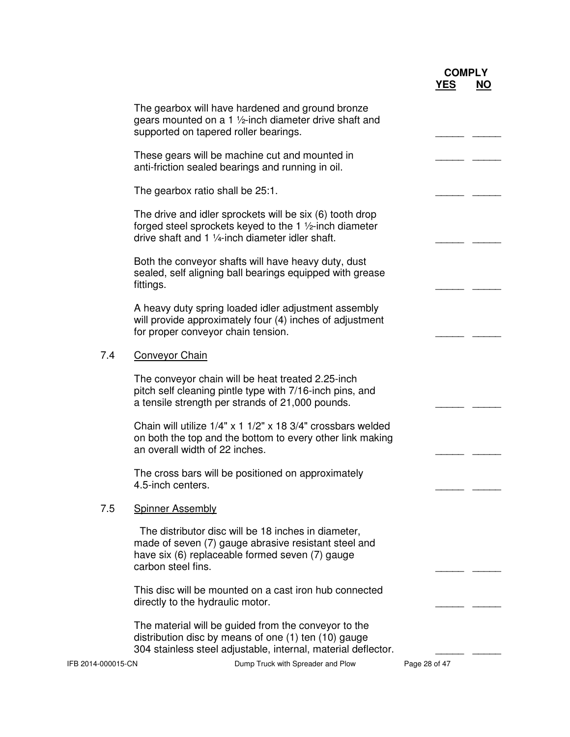|                    |                                                                                                                                                                                      |               | <b>COMPLY</b> |           |
|--------------------|--------------------------------------------------------------------------------------------------------------------------------------------------------------------------------------|---------------|---------------|-----------|
|                    |                                                                                                                                                                                      |               | <b>YES</b>    | <b>NO</b> |
|                    | The gearbox will have hardened and ground bronze<br>gears mounted on a 1 1/2-inch diameter drive shaft and<br>supported on tapered roller bearings.                                  |               |               |           |
|                    | These gears will be machine cut and mounted in<br>anti-friction sealed bearings and running in oil.                                                                                  |               |               |           |
|                    | The gearbox ratio shall be 25:1.                                                                                                                                                     |               |               |           |
|                    | The drive and idler sprockets will be six (6) tooth drop<br>forged steel sprockets keyed to the 1 1/2-inch diameter<br>drive shaft and 1 1/4-inch diameter idler shaft.              |               |               |           |
|                    | Both the conveyor shafts will have heavy duty, dust<br>sealed, self aligning ball bearings equipped with grease<br>fittings.                                                         |               |               |           |
|                    | A heavy duty spring loaded idler adjustment assembly<br>will provide approximately four (4) inches of adjustment<br>for proper conveyor chain tension.                               |               |               |           |
| 7.4                | <b>Conveyor Chain</b>                                                                                                                                                                |               |               |           |
|                    | The conveyor chain will be heat treated 2.25-inch<br>pitch self cleaning pintle type with 7/16-inch pins, and<br>a tensile strength per strands of 21,000 pounds.                    |               |               |           |
|                    | Chain will utilize 1/4" x 1 1/2" x 18 3/4" crossbars welded<br>on both the top and the bottom to every other link making<br>an overall width of 22 inches.                           |               |               |           |
|                    | The cross bars will be positioned on approximately<br>4.5-inch centers.                                                                                                              |               |               |           |
| 7.5                | <b>Spinner Assembly</b>                                                                                                                                                              |               |               |           |
|                    | The distributor disc will be 18 inches in diameter,<br>made of seven (7) gauge abrasive resistant steel and<br>have six (6) replaceable formed seven (7) gauge<br>carbon steel fins. |               |               |           |
|                    | This disc will be mounted on a cast iron hub connected<br>directly to the hydraulic motor.                                                                                           |               |               |           |
|                    | The material will be guided from the conveyor to the<br>distribution disc by means of one (1) ten (10) gauge<br>304 stainless steel adjustable, internal, material deflector.        |               |               |           |
| IFB 2014-000015-CN | Dump Truck with Spreader and Plow                                                                                                                                                    | Page 28 of 47 |               |           |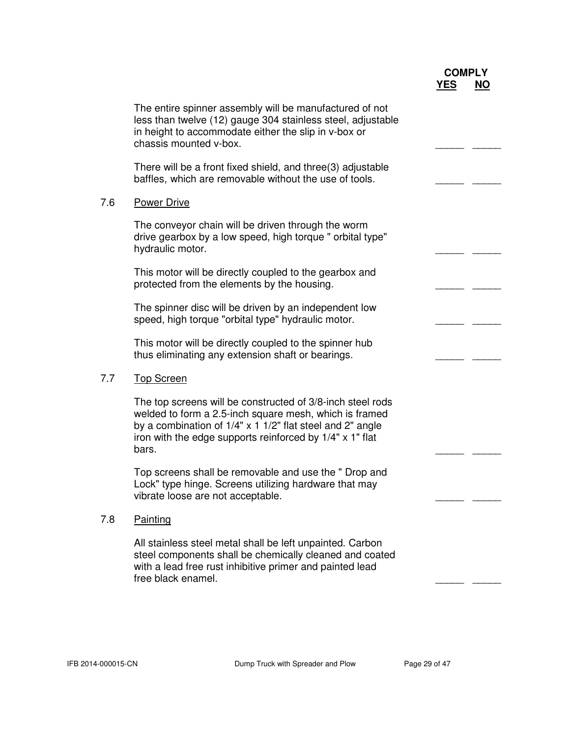|     |                                                                                                                                                                                                                                                        | <b>COMPLY</b><br><u>YES</u> | <b>NO</b> |
|-----|--------------------------------------------------------------------------------------------------------------------------------------------------------------------------------------------------------------------------------------------------------|-----------------------------|-----------|
|     | The entire spinner assembly will be manufactured of not<br>less than twelve (12) gauge 304 stainless steel, adjustable<br>in height to accommodate either the slip in v-box or<br>chassis mounted v-box.                                               |                             |           |
|     | There will be a front fixed shield, and three(3) adjustable<br>baffles, which are removable without the use of tools.                                                                                                                                  |                             |           |
| 7.6 | <b>Power Drive</b>                                                                                                                                                                                                                                     |                             |           |
|     | The conveyor chain will be driven through the worm<br>drive gearbox by a low speed, high torque " orbital type"<br>hydraulic motor.                                                                                                                    |                             |           |
|     | This motor will be directly coupled to the gearbox and<br>protected from the elements by the housing.                                                                                                                                                  |                             |           |
|     | The spinner disc will be driven by an independent low<br>speed, high torque "orbital type" hydraulic motor.                                                                                                                                            |                             |           |
|     | This motor will be directly coupled to the spinner hub<br>thus eliminating any extension shaft or bearings.                                                                                                                                            |                             |           |
| 7.7 | <b>Top Screen</b>                                                                                                                                                                                                                                      |                             |           |
|     | The top screens will be constructed of 3/8-inch steel rods<br>welded to form a 2.5-inch square mesh, which is framed<br>by a combination of 1/4" x 1 1/2" flat steel and 2" angle<br>iron with the edge supports reinforced by 1/4" x 1" flat<br>bars. |                             |           |
|     | Top screens shall be removable and use the " Drop and<br>Lock" type hinge. Screens utilizing hardware that may<br>vibrate loose are not acceptable.                                                                                                    |                             |           |
| 7.8 | Painting                                                                                                                                                                                                                                               |                             |           |
|     | All stainless steel metal shall be left unpainted. Carbon<br>steel components shall be chemically cleaned and coated<br>with a lead free rust inhibitive primer and painted lead<br>free black enamel.                                                 |                             |           |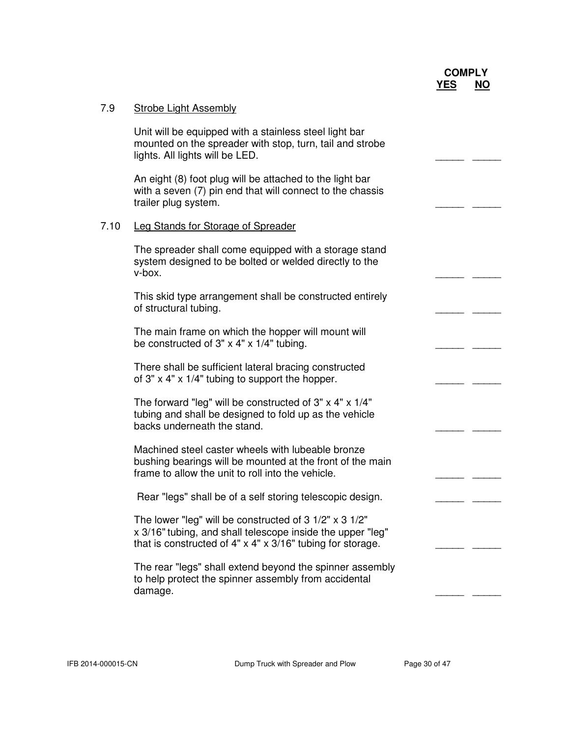| 7.9  | <b>Strobe Light Assembly</b>                                                                                                                                                                   |  |
|------|------------------------------------------------------------------------------------------------------------------------------------------------------------------------------------------------|--|
|      | Unit will be equipped with a stainless steel light bar<br>mounted on the spreader with stop, turn, tail and strobe<br>lights. All lights will be LED.                                          |  |
|      | An eight (8) foot plug will be attached to the light bar<br>with a seven (7) pin end that will connect to the chassis<br>trailer plug system.                                                  |  |
| 7.10 | <b>Leg Stands for Storage of Spreader</b>                                                                                                                                                      |  |
|      | The spreader shall come equipped with a storage stand<br>system designed to be bolted or welded directly to the<br>v-box.                                                                      |  |
|      | This skid type arrangement shall be constructed entirely<br>of structural tubing.                                                                                                              |  |
|      | The main frame on which the hopper will mount will<br>be constructed of $3" \times 4" \times 1/4"$ tubing.                                                                                     |  |
|      | There shall be sufficient lateral bracing constructed<br>of $3" \times 4" \times 1/4"$ tubing to support the hopper.                                                                           |  |
|      | The forward "leg" will be constructed of $3" \times 4" \times 1/4"$<br>tubing and shall be designed to fold up as the vehicle<br>backs underneath the stand.                                   |  |
|      | Machined steel caster wheels with lubeable bronze<br>bushing bearings will be mounted at the front of the main<br>frame to allow the unit to roll into the vehicle.                            |  |
|      | Rear "legs" shall be of a self storing telescopic design.                                                                                                                                      |  |
|      | The lower "leg" will be constructed of 3 1/2" x 3 1/2"<br>x 3/16" tubing, and shall telescope inside the upper "leg"<br>that is constructed of $4" \times 4" \times 3/16"$ tubing for storage. |  |
|      | The rear "legs" shall extend beyond the spinner assembly<br>to help protect the spinner assembly from accidental<br>damage.                                                                    |  |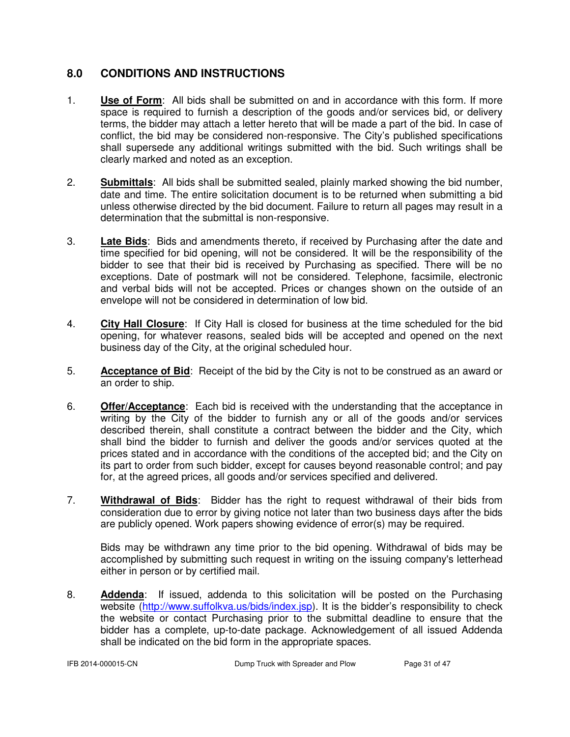# **8.0 CONDITIONS AND INSTRUCTIONS**

- 1. **Use of Form**: All bids shall be submitted on and in accordance with this form. If more space is required to furnish a description of the goods and/or services bid, or delivery terms, the bidder may attach a letter hereto that will be made a part of the bid. In case of conflict, the bid may be considered non-responsive. The City's published specifications shall supersede any additional writings submitted with the bid. Such writings shall be clearly marked and noted as an exception.
- 2. **Submittals**: All bids shall be submitted sealed, plainly marked showing the bid number, date and time. The entire solicitation document is to be returned when submitting a bid unless otherwise directed by the bid document. Failure to return all pages may result in a determination that the submittal is non-responsive.
- 3. **Late Bids**: Bids and amendments thereto, if received by Purchasing after the date and time specified for bid opening, will not be considered. It will be the responsibility of the bidder to see that their bid is received by Purchasing as specified. There will be no exceptions. Date of postmark will not be considered. Telephone, facsimile, electronic and verbal bids will not be accepted. Prices or changes shown on the outside of an envelope will not be considered in determination of low bid.
- 4. **City Hall Closure**: If City Hall is closed for business at the time scheduled for the bid opening, for whatever reasons, sealed bids will be accepted and opened on the next business day of the City, at the original scheduled hour.
- 5. **Acceptance of Bid**: Receipt of the bid by the City is not to be construed as an award or an order to ship.
- 6. **Offer/Acceptance**: Each bid is received with the understanding that the acceptance in writing by the City of the bidder to furnish any or all of the goods and/or services described therein, shall constitute a contract between the bidder and the City, which shall bind the bidder to furnish and deliver the goods and/or services quoted at the prices stated and in accordance with the conditions of the accepted bid; and the City on its part to order from such bidder, except for causes beyond reasonable control; and pay for, at the agreed prices, all goods and/or services specified and delivered.
- 7. **Withdrawal of Bids**: Bidder has the right to request withdrawal of their bids from consideration due to error by giving notice not later than two business days after the bids are publicly opened. Work papers showing evidence of error(s) may be required.

 Bids may be withdrawn any time prior to the bid opening. Withdrawal of bids may be accomplished by submitting such request in writing on the issuing company's letterhead either in person or by certified mail.

8. **Addenda**: If issued, addenda to this solicitation will be posted on the Purchasing website (http://www.suffolkva.us/bids/index.jsp). It is the bidder's responsibility to check the website or contact Purchasing prior to the submittal deadline to ensure that the bidder has a complete, up-to-date package. Acknowledgement of all issued Addenda shall be indicated on the bid form in the appropriate spaces.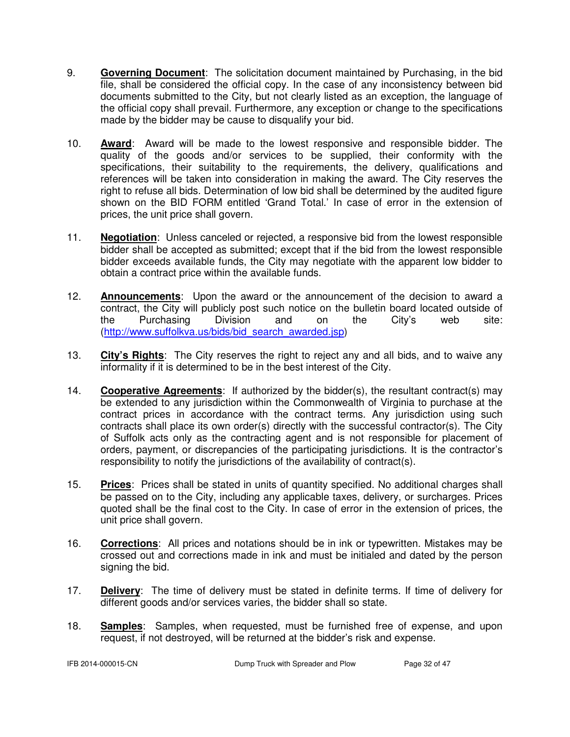- 9. **Governing Document**: The solicitation document maintained by Purchasing, in the bid file, shall be considered the official copy. In the case of any inconsistency between bid documents submitted to the City, but not clearly listed as an exception, the language of the official copy shall prevail. Furthermore, any exception or change to the specifications made by the bidder may be cause to disqualify your bid.
- 10. **Award**: Award will be made to the lowest responsive and responsible bidder. The quality of the goods and/or services to be supplied, their conformity with the specifications, their suitability to the requirements, the delivery, qualifications and references will be taken into consideration in making the award. The City reserves the right to refuse all bids. Determination of low bid shall be determined by the audited figure shown on the BID FORM entitled 'Grand Total.' In case of error in the extension of prices, the unit price shall govern.
- 11. **Negotiation**: Unless canceled or rejected, a responsive bid from the lowest responsible bidder shall be accepted as submitted; except that if the bid from the lowest responsible bidder exceeds available funds, the City may negotiate with the apparent low bidder to obtain a contract price within the available funds.
- 12. **Announcements**: Upon the award or the announcement of the decision to award a contract, the City will publicly post such notice on the bulletin board located outside of the Purchasing Division and on the City's web site: (http://www.suffolkva.us/bids/bid\_search\_awarded.jsp)
- 13. **City's Rights**: The City reserves the right to reject any and all bids, and to waive any informality if it is determined to be in the best interest of the City.
- 14. **Cooperative Agreements**: If authorized by the bidder(s), the resultant contract(s) may be extended to any jurisdiction within the Commonwealth of Virginia to purchase at the contract prices in accordance with the contract terms. Any jurisdiction using such contracts shall place its own order(s) directly with the successful contractor(s). The City of Suffolk acts only as the contracting agent and is not responsible for placement of orders, payment, or discrepancies of the participating jurisdictions. It is the contractor's responsibility to notify the jurisdictions of the availability of contract(s).
- 15. **Prices**: Prices shall be stated in units of quantity specified. No additional charges shall be passed on to the City, including any applicable taxes, delivery, or surcharges. Prices quoted shall be the final cost to the City. In case of error in the extension of prices, the unit price shall govern.
- 16. **Corrections**: All prices and notations should be in ink or typewritten. Mistakes may be crossed out and corrections made in ink and must be initialed and dated by the person signing the bid.
- 17. **Delivery**: The time of delivery must be stated in definite terms. If time of delivery for different goods and/or services varies, the bidder shall so state.
- 18. **Samples**: Samples, when requested, must be furnished free of expense, and upon request, if not destroyed, will be returned at the bidder's risk and expense.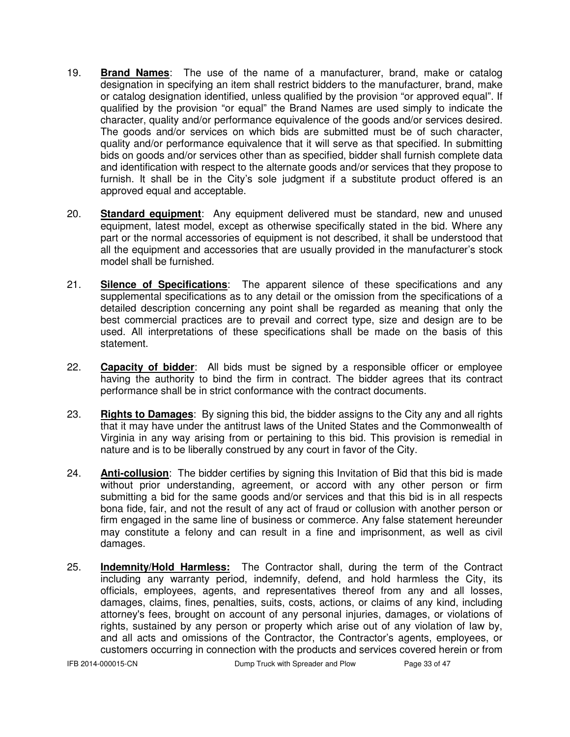- 19. **Brand Names**: The use of the name of a manufacturer, brand, make or catalog designation in specifying an item shall restrict bidders to the manufacturer, brand, make or catalog designation identified, unless qualified by the provision "or approved equal". If qualified by the provision "or equal" the Brand Names are used simply to indicate the character, quality and/or performance equivalence of the goods and/or services desired. The goods and/or services on which bids are submitted must be of such character, quality and/or performance equivalence that it will serve as that specified. In submitting bids on goods and/or services other than as specified, bidder shall furnish complete data and identification with respect to the alternate goods and/or services that they propose to furnish. It shall be in the City's sole judgment if a substitute product offered is an approved equal and acceptable.
- 20. **Standard equipment**: Any equipment delivered must be standard, new and unused equipment, latest model, except as otherwise specifically stated in the bid. Where any part or the normal accessories of equipment is not described, it shall be understood that all the equipment and accessories that are usually provided in the manufacturer's stock model shall be furnished.
- 21. **Silence of Specifications**: The apparent silence of these specifications and any supplemental specifications as to any detail or the omission from the specifications of a detailed description concerning any point shall be regarded as meaning that only the best commercial practices are to prevail and correct type, size and design are to be used. All interpretations of these specifications shall be made on the basis of this statement.
- 22. **Capacity of bidder**: All bids must be signed by a responsible officer or employee having the authority to bind the firm in contract. The bidder agrees that its contract performance shall be in strict conformance with the contract documents.
- 23. **Rights to Damages**: By signing this bid, the bidder assigns to the City any and all rights that it may have under the antitrust laws of the United States and the Commonwealth of Virginia in any way arising from or pertaining to this bid. This provision is remedial in nature and is to be liberally construed by any court in favor of the City.
- 24. **Anti-collusion**: The bidder certifies by signing this Invitation of Bid that this bid is made without prior understanding, agreement, or accord with any other person or firm submitting a bid for the same goods and/or services and that this bid is in all respects bona fide, fair, and not the result of any act of fraud or collusion with another person or firm engaged in the same line of business or commerce. Any false statement hereunder may constitute a felony and can result in a fine and imprisonment, as well as civil damages.
- 25. **Indemnity/Hold Harmless:** The Contractor shall, during the term of the Contract including any warranty period, indemnify, defend, and hold harmless the City, its officials, employees, agents, and representatives thereof from any and all losses, damages, claims, fines, penalties, suits, costs, actions, or claims of any kind, including attorney's fees, brought on account of any personal injuries, damages, or violations of rights, sustained by any person or property which arise out of any violation of law by, and all acts and omissions of the Contractor, the Contractor's agents, employees, or customers occurring in connection with the products and services covered herein or from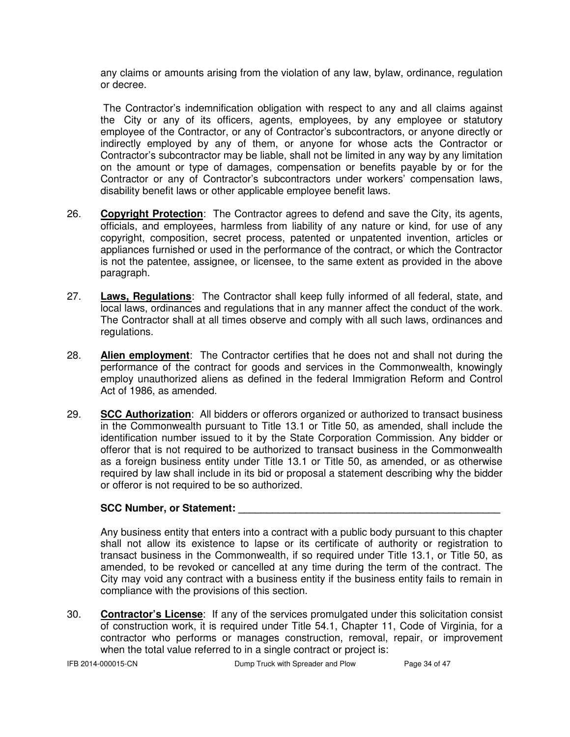any claims or amounts arising from the violation of any law, bylaw, ordinance, regulation or decree.

 The Contractor's indemnification obligation with respect to any and all claims against the City or any of its officers, agents, employees, by any employee or statutory employee of the Contractor, or any of Contractor's subcontractors, or anyone directly or indirectly employed by any of them, or anyone for whose acts the Contractor or Contractor's subcontractor may be liable, shall not be limited in any way by any limitation on the amount or type of damages, compensation or benefits payable by or for the Contractor or any of Contractor's subcontractors under workers' compensation laws, disability benefit laws or other applicable employee benefit laws.

- 26. **Copyright Protection**: The Contractor agrees to defend and save the City, its agents, officials, and employees, harmless from liability of any nature or kind, for use of any copyright, composition, secret process, patented or unpatented invention, articles or appliances furnished or used in the performance of the contract, or which the Contractor is not the patentee, assignee, or licensee, to the same extent as provided in the above paragraph.
- 27. **Laws, Regulations**: The Contractor shall keep fully informed of all federal, state, and local laws, ordinances and regulations that in any manner affect the conduct of the work. The Contractor shall at all times observe and comply with all such laws, ordinances and regulations.
- 28. **Alien employment**: The Contractor certifies that he does not and shall not during the performance of the contract for goods and services in the Commonwealth, knowingly employ unauthorized aliens as defined in the federal Immigration Reform and Control Act of 1986, as amended.
- 29. **SCC Authorization**: All bidders or offerors organized or authorized to transact business in the Commonwealth pursuant to Title 13.1 or Title 50, as amended, shall include the identification number issued to it by the State Corporation Commission. Any bidder or offeror that is not required to be authorized to transact business in the Commonwealth as a foreign business entity under Title 13.1 or Title 50, as amended, or as otherwise required by law shall include in its bid or proposal a statement describing why the bidder or offeror is not required to be so authorized.

### **SCC Number, or Statement: \_\_\_\_\_\_\_\_\_\_\_\_\_\_\_\_\_\_\_\_\_\_\_\_\_\_\_\_\_\_\_\_\_\_\_\_\_\_\_\_\_\_\_\_\_\_**

 Any business entity that enters into a contract with a public body pursuant to this chapter shall not allow its existence to lapse or its certificate of authority or registration to transact business in the Commonwealth, if so required under Title 13.1, or Title 50, as amended, to be revoked or cancelled at any time during the term of the contract. The City may void any contract with a business entity if the business entity fails to remain in compliance with the provisions of this section.

30. **Contractor's License**: If any of the services promulgated under this solicitation consist of construction work, it is required under Title 54.1, Chapter 11, Code of Virginia, for a contractor who performs or manages construction, removal, repair, or improvement when the total value referred to in a single contract or project is: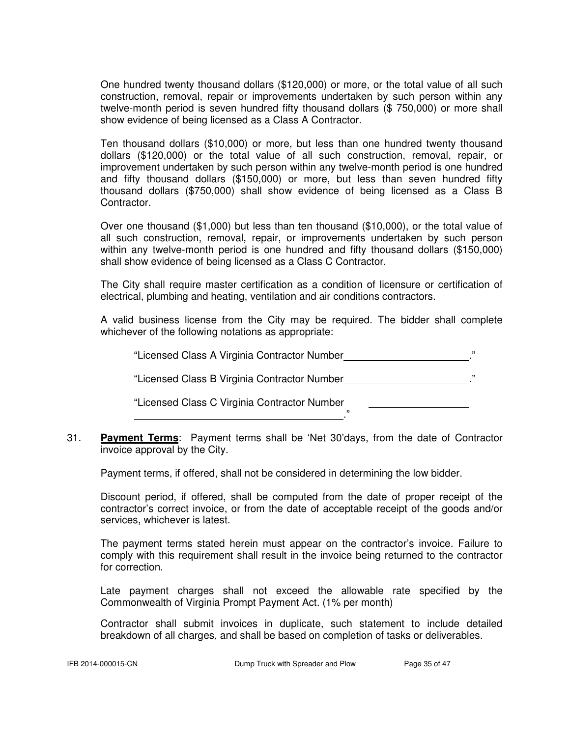One hundred twenty thousand dollars (\$120,000) or more, or the total value of all such construction, removal, repair or improvements undertaken by such person within any twelve-month period is seven hundred fifty thousand dollars (\$ 750,000) or more shall show evidence of being licensed as a Class A Contractor.

 Ten thousand dollars (\$10,000) or more, but less than one hundred twenty thousand dollars (\$120,000) or the total value of all such construction, removal, repair, or improvement undertaken by such person within any twelve-month period is one hundred and fifty thousand dollars (\$150,000) or more, but less than seven hundred fifty thousand dollars (\$750,000) shall show evidence of being licensed as a Class B Contractor.

 Over one thousand (\$1,000) but less than ten thousand (\$10,000), or the total value of all such construction, removal, repair, or improvements undertaken by such person within any twelve-month period is one hundred and fifty thousand dollars (\$150,000) shall show evidence of being licensed as a Class C Contractor.

 The City shall require master certification as a condition of licensure or certification of electrical, plumbing and heating, ventilation and air conditions contractors.

 A valid business license from the City may be required. The bidder shall complete whichever of the following notations as appropriate:

"Licensed Class A Virginia Contractor Number

"Licensed Class B Virginia Contractor Number ."

."

"Licensed Class C Virginia Contractor Number

31. **Payment Terms**: Payment terms shall be 'Net 30'days, from the date of Contractor invoice approval by the City.

Payment terms, if offered, shall not be considered in determining the low bidder.

 Discount period, if offered, shall be computed from the date of proper receipt of the contractor's correct invoice, or from the date of acceptable receipt of the goods and/or services, whichever is latest.

 The payment terms stated herein must appear on the contractor's invoice. Failure to comply with this requirement shall result in the invoice being returned to the contractor for correction.

 Late payment charges shall not exceed the allowable rate specified by the Commonwealth of Virginia Prompt Payment Act. (1% per month)

Contractor shall submit invoices in duplicate, such statement to include detailed breakdown of all charges, and shall be based on completion of tasks or deliverables.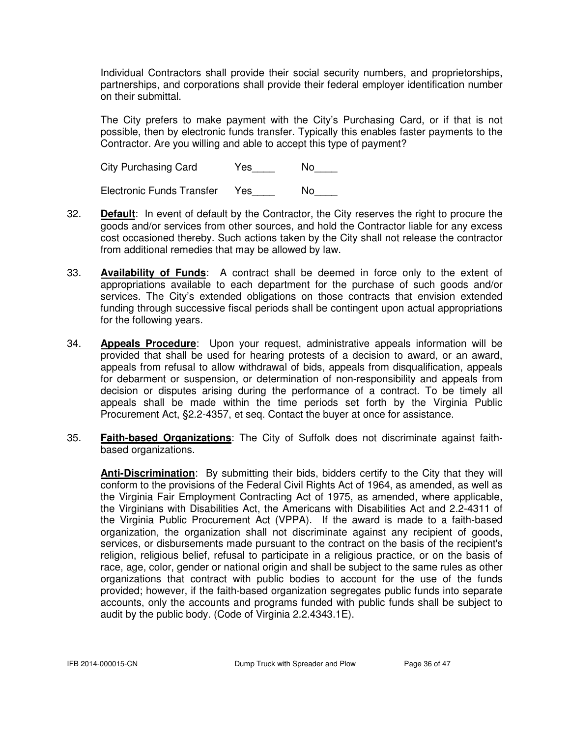Individual Contractors shall provide their social security numbers, and proprietorships, partnerships, and corporations shall provide their federal employer identification number on their submittal.

 The City prefers to make payment with the City's Purchasing Card, or if that is not possible, then by electronic funds transfer. Typically this enables faster payments to the Contractor. Are you willing and able to accept this type of payment?

City Purchasing Card Yes No

Electronic Funds Transfer Yes\_\_\_\_ No\_\_\_\_

- 32. **Default**: In event of default by the Contractor, the City reserves the right to procure the goods and/or services from other sources, and hold the Contractor liable for any excess cost occasioned thereby. Such actions taken by the City shall not release the contractor from additional remedies that may be allowed by law.
- 33. **Availability of Funds**: A contract shall be deemed in force only to the extent of appropriations available to each department for the purchase of such goods and/or services. The City's extended obligations on those contracts that envision extended funding through successive fiscal periods shall be contingent upon actual appropriations for the following years.
- 34. **Appeals Procedure**: Upon your request, administrative appeals information will be provided that shall be used for hearing protests of a decision to award, or an award, appeals from refusal to allow withdrawal of bids, appeals from disqualification, appeals for debarment or suspension, or determination of non-responsibility and appeals from decision or disputes arising during the performance of a contract. To be timely all appeals shall be made within the time periods set forth by the Virginia Public Procurement Act, §2.2-4357, et seq. Contact the buyer at once for assistance.
- 35. **Faith-based Organizations**: The City of Suffolk does not discriminate against faithbased organizations.

**Anti-Discrimination**: By submitting their bids, bidders certify to the City that they will conform to the provisions of the Federal Civil Rights Act of 1964, as amended, as well as the Virginia Fair Employment Contracting Act of 1975, as amended, where applicable, the Virginians with Disabilities Act, the Americans with Disabilities Act and 2.2-4311 of the Virginia Public Procurement Act (VPPA). If the award is made to a faith-based organization, the organization shall not discriminate against any recipient of goods, services, or disbursements made pursuant to the contract on the basis of the recipient's religion, religious belief, refusal to participate in a religious practice, or on the basis of race, age, color, gender or national origin and shall be subject to the same rules as other organizations that contract with public bodies to account for the use of the funds provided; however, if the faith-based organization segregates public funds into separate accounts, only the accounts and programs funded with public funds shall be subject to audit by the public body. (Code of Virginia 2.2.4343.1E).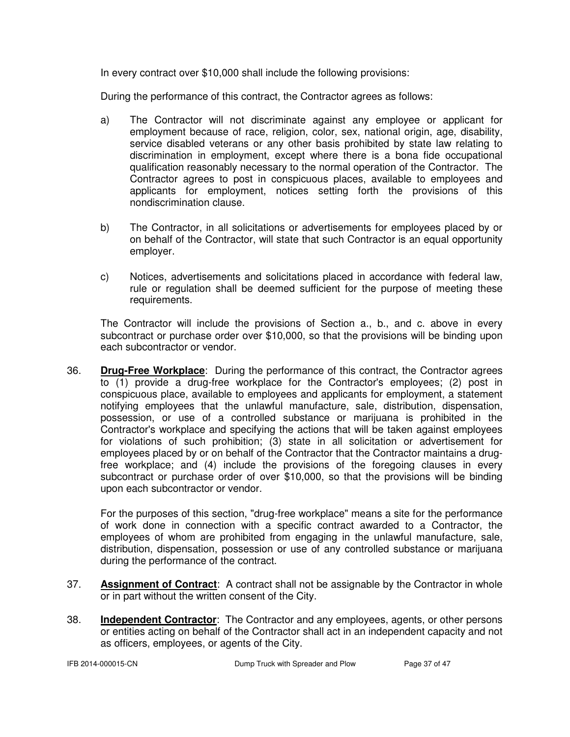In every contract over \$10,000 shall include the following provisions:

During the performance of this contract, the Contractor agrees as follows:

- a) The Contractor will not discriminate against any employee or applicant for employment because of race, religion, color, sex, national origin, age, disability, service disabled veterans or any other basis prohibited by state law relating to discrimination in employment, except where there is a bona fide occupational qualification reasonably necessary to the normal operation of the Contractor. The Contractor agrees to post in conspicuous places, available to employees and applicants for employment, notices setting forth the provisions of this nondiscrimination clause.
- b) The Contractor, in all solicitations or advertisements for employees placed by or on behalf of the Contractor, will state that such Contractor is an equal opportunity employer.
- c) Notices, advertisements and solicitations placed in accordance with federal law, rule or regulation shall be deemed sufficient for the purpose of meeting these requirements.

The Contractor will include the provisions of Section a., b., and c. above in every subcontract or purchase order over \$10,000, so that the provisions will be binding upon each subcontractor or vendor.

36. **Drug-Free Workplace**: During the performance of this contract, the Contractor agrees to (1) provide a drug-free workplace for the Contractor's employees; (2) post in conspicuous place, available to employees and applicants for employment, a statement notifying employees that the unlawful manufacture, sale, distribution, dispensation, possession, or use of a controlled substance or marijuana is prohibited in the Contractor's workplace and specifying the actions that will be taken against employees for violations of such prohibition; (3) state in all solicitation or advertisement for employees placed by or on behalf of the Contractor that the Contractor maintains a drugfree workplace; and (4) include the provisions of the foregoing clauses in every subcontract or purchase order of over \$10,000, so that the provisions will be binding upon each subcontractor or vendor.

For the purposes of this section, "drug-free workplace" means a site for the performance of work done in connection with a specific contract awarded to a Contractor, the employees of whom are prohibited from engaging in the unlawful manufacture, sale, distribution, dispensation, possession or use of any controlled substance or marijuana during the performance of the contract.

- 37. **Assignment of Contract**: A contract shall not be assignable by the Contractor in whole or in part without the written consent of the City.
- 38. **Independent Contractor**: The Contractor and any employees, agents, or other persons or entities acting on behalf of the Contractor shall act in an independent capacity and not as officers, employees, or agents of the City.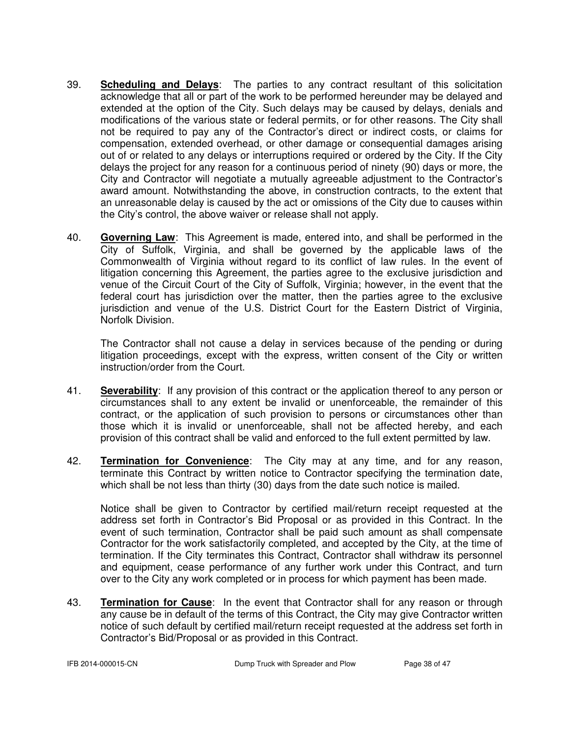- 39. **Scheduling and Delays**: The parties to any contract resultant of this solicitation acknowledge that all or part of the work to be performed hereunder may be delayed and extended at the option of the City. Such delays may be caused by delays, denials and modifications of the various state or federal permits, or for other reasons. The City shall not be required to pay any of the Contractor's direct or indirect costs, or claims for compensation, extended overhead, or other damage or consequential damages arising out of or related to any delays or interruptions required or ordered by the City. If the City delays the project for any reason for a continuous period of ninety (90) days or more, the City and Contractor will negotiate a mutually agreeable adjustment to the Contractor's award amount. Notwithstanding the above, in construction contracts, to the extent that an unreasonable delay is caused by the act or omissions of the City due to causes within the City's control, the above waiver or release shall not apply.
- 40. **Governing Law**: This Agreement is made, entered into, and shall be performed in the City of Suffolk, Virginia, and shall be governed by the applicable laws of the Commonwealth of Virginia without regard to its conflict of law rules. In the event of litigation concerning this Agreement, the parties agree to the exclusive jurisdiction and venue of the Circuit Court of the City of Suffolk, Virginia; however, in the event that the federal court has jurisdiction over the matter, then the parties agree to the exclusive jurisdiction and venue of the U.S. District Court for the Eastern District of Virginia, Norfolk Division.

The Contractor shall not cause a delay in services because of the pending or during litigation proceedings, except with the express, written consent of the City or written instruction/order from the Court.

- 41. **Severability**: If any provision of this contract or the application thereof to any person or circumstances shall to any extent be invalid or unenforceable, the remainder of this contract, or the application of such provision to persons or circumstances other than those which it is invalid or unenforceable, shall not be affected hereby, and each provision of this contract shall be valid and enforced to the full extent permitted by law.
- 42. **Termination for Convenience**: The City may at any time, and for any reason, terminate this Contract by written notice to Contractor specifying the termination date, which shall be not less than thirty (30) days from the date such notice is mailed.

Notice shall be given to Contractor by certified mail/return receipt requested at the address set forth in Contractor's Bid Proposal or as provided in this Contract. In the event of such termination, Contractor shall be paid such amount as shall compensate Contractor for the work satisfactorily completed, and accepted by the City, at the time of termination. If the City terminates this Contract, Contractor shall withdraw its personnel and equipment, cease performance of any further work under this Contract, and turn over to the City any work completed or in process for which payment has been made.

43. **Termination for Cause**: In the event that Contractor shall for any reason or through any cause be in default of the terms of this Contract, the City may give Contractor written notice of such default by certified mail/return receipt requested at the address set forth in Contractor's Bid/Proposal or as provided in this Contract.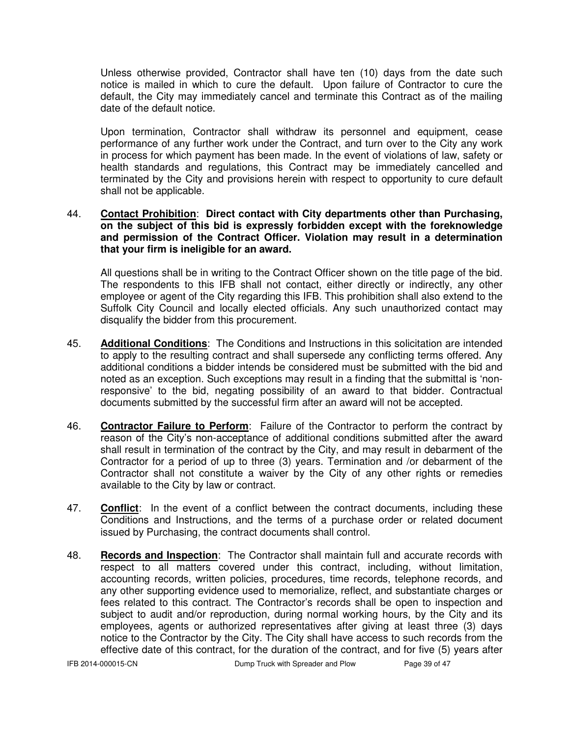Unless otherwise provided, Contractor shall have ten (10) days from the date such notice is mailed in which to cure the default. Upon failure of Contractor to cure the default, the City may immediately cancel and terminate this Contract as of the mailing date of the default notice.

 Upon termination, Contractor shall withdraw its personnel and equipment, cease performance of any further work under the Contract, and turn over to the City any work in process for which payment has been made. In the event of violations of law, safety or health standards and regulations, this Contract may be immediately cancelled and terminated by the City and provisions herein with respect to opportunity to cure default shall not be applicable.

#### 44. **Contact Prohibition**: **Direct contact with City departments other than Purchasing, on the subject of this bid is expressly forbidden except with the foreknowledge and permission of the Contract Officer. Violation may result in a determination that your firm is ineligible for an award.**

All questions shall be in writing to the Contract Officer shown on the title page of the bid. The respondents to this IFB shall not contact, either directly or indirectly, any other employee or agent of the City regarding this IFB. This prohibition shall also extend to the Suffolk City Council and locally elected officials. Any such unauthorized contact may disqualify the bidder from this procurement.

- 45. **Additional Conditions**: The Conditions and Instructions in this solicitation are intended to apply to the resulting contract and shall supersede any conflicting terms offered. Any additional conditions a bidder intends be considered must be submitted with the bid and noted as an exception. Such exceptions may result in a finding that the submittal is 'nonresponsive' to the bid, negating possibility of an award to that bidder. Contractual documents submitted by the successful firm after an award will not be accepted.
- 46. **Contractor Failure to Perform**: Failure of the Contractor to perform the contract by reason of the City's non-acceptance of additional conditions submitted after the award shall result in termination of the contract by the City, and may result in debarment of the Contractor for a period of up to three (3) years. Termination and /or debarment of the Contractor shall not constitute a waiver by the City of any other rights or remedies available to the City by law or contract.
- 47. **Conflict**: In the event of a conflict between the contract documents, including these Conditions and Instructions, and the terms of a purchase order or related document issued by Purchasing, the contract documents shall control.
- 48. **Records and Inspection**: The Contractor shall maintain full and accurate records with respect to all matters covered under this contract, including, without limitation, accounting records, written policies, procedures, time records, telephone records, and any other supporting evidence used to memorialize, reflect, and substantiate charges or fees related to this contract. The Contractor's records shall be open to inspection and subject to audit and/or reproduction, during normal working hours, by the City and its employees, agents or authorized representatives after giving at least three (3) days notice to the Contractor by the City. The City shall have access to such records from the effective date of this contract, for the duration of the contract, and for five (5) years after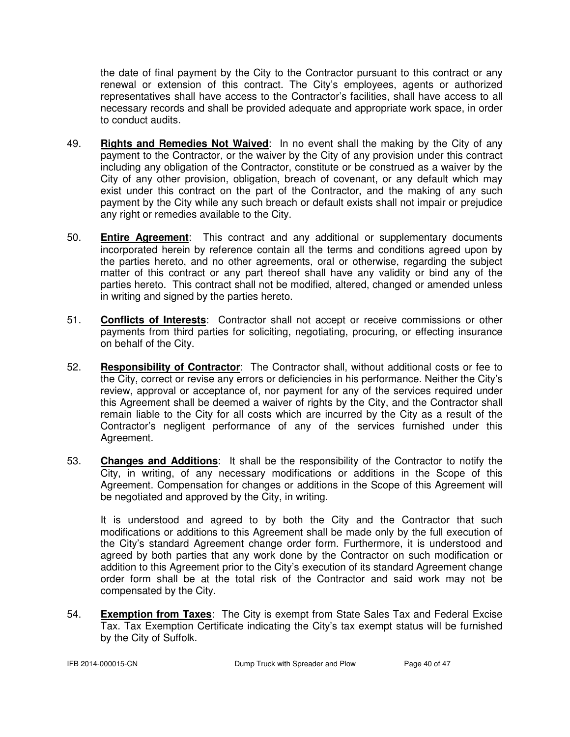the date of final payment by the City to the Contractor pursuant to this contract or any renewal or extension of this contract. The City's employees, agents or authorized representatives shall have access to the Contractor's facilities, shall have access to all necessary records and shall be provided adequate and appropriate work space, in order to conduct audits.

- 49. **Rights and Remedies Not Waived**: In no event shall the making by the City of any payment to the Contractor, or the waiver by the City of any provision under this contract including any obligation of the Contractor, constitute or be construed as a waiver by the City of any other provision, obligation, breach of covenant, or any default which may exist under this contract on the part of the Contractor, and the making of any such payment by the City while any such breach or default exists shall not impair or prejudice any right or remedies available to the City.
- 50. **Entire Agreement**: This contract and any additional or supplementary documents incorporated herein by reference contain all the terms and conditions agreed upon by the parties hereto, and no other agreements, oral or otherwise, regarding the subject matter of this contract or any part thereof shall have any validity or bind any of the parties hereto. This contract shall not be modified, altered, changed or amended unless in writing and signed by the parties hereto.
- 51. **Conflicts of Interests**: Contractor shall not accept or receive commissions or other payments from third parties for soliciting, negotiating, procuring, or effecting insurance on behalf of the City.
- 52. **Responsibility of Contractor**: The Contractor shall, without additional costs or fee to the City, correct or revise any errors or deficiencies in his performance. Neither the City's review, approval or acceptance of, nor payment for any of the services required under this Agreement shall be deemed a waiver of rights by the City, and the Contractor shall remain liable to the City for all costs which are incurred by the City as a result of the Contractor's negligent performance of any of the services furnished under this Agreement.
- 53. **Changes and Additions**: It shall be the responsibility of the Contractor to notify the City, in writing, of any necessary modifications or additions in the Scope of this Agreement. Compensation for changes or additions in the Scope of this Agreement will be negotiated and approved by the City, in writing.

 It is understood and agreed to by both the City and the Contractor that such modifications or additions to this Agreement shall be made only by the full execution of the City's standard Agreement change order form. Furthermore, it is understood and agreed by both parties that any work done by the Contractor on such modification or addition to this Agreement prior to the City's execution of its standard Agreement change order form shall be at the total risk of the Contractor and said work may not be compensated by the City.

54. **Exemption from Taxes**: The City is exempt from State Sales Tax and Federal Excise Tax. Tax Exemption Certificate indicating the City's tax exempt status will be furnished by the City of Suffolk.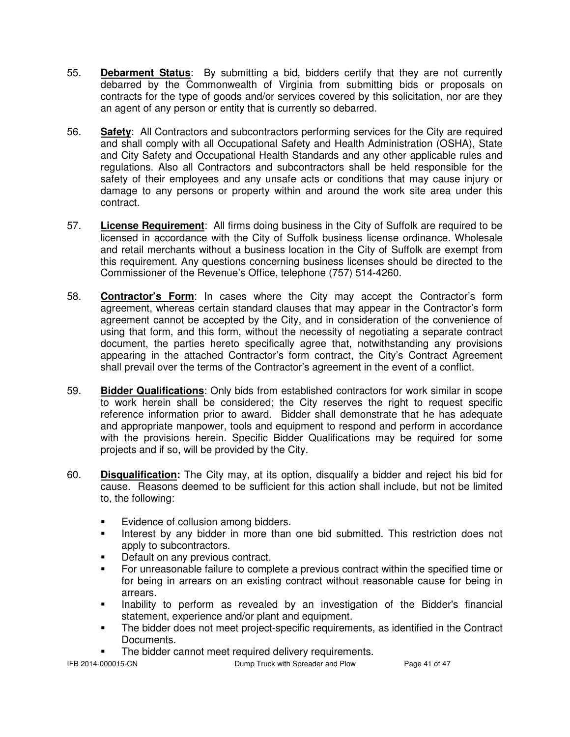- 55. **Debarment Status**: By submitting a bid, bidders certify that they are not currently debarred by the Commonwealth of Virginia from submitting bids or proposals on contracts for the type of goods and/or services covered by this solicitation, nor are they an agent of any person or entity that is currently so debarred.
- 56. **Safety**: All Contractors and subcontractors performing services for the City are required and shall comply with all Occupational Safety and Health Administration (OSHA), State and City Safety and Occupational Health Standards and any other applicable rules and regulations. Also all Contractors and subcontractors shall be held responsible for the safety of their employees and any unsafe acts or conditions that may cause injury or damage to any persons or property within and around the work site area under this contract.
- 57. **License Requirement**: All firms doing business in the City of Suffolk are required to be licensed in accordance with the City of Suffolk business license ordinance. Wholesale and retail merchants without a business location in the City of Suffolk are exempt from this requirement. Any questions concerning business licenses should be directed to the Commissioner of the Revenue's Office, telephone (757) 514-4260.
- 58. **Contractor's Form**: In cases where the City may accept the Contractor's form agreement, whereas certain standard clauses that may appear in the Contractor's form agreement cannot be accepted by the City, and in consideration of the convenience of using that form, and this form, without the necessity of negotiating a separate contract document, the parties hereto specifically agree that, notwithstanding any provisions appearing in the attached Contractor's form contract, the City's Contract Agreement shall prevail over the terms of the Contractor's agreement in the event of a conflict.
- 59. **Bidder Qualifications**: Only bids from established contractors for work similar in scope to work herein shall be considered; the City reserves the right to request specific reference information prior to award. Bidder shall demonstrate that he has adequate and appropriate manpower, tools and equipment to respond and perform in accordance with the provisions herein. Specific Bidder Qualifications may be required for some projects and if so, will be provided by the City.
- 60. **Disqualification:** The City may, at its option, disqualify a bidder and reject his bid for cause. Reasons deemed to be sufficient for this action shall include, but not be limited to, the following:
	- **Evidence of collusion among bidders.**
	- Interest by any bidder in more than one bid submitted. This restriction does not apply to subcontractors.
	- Default on any previous contract.
	- For unreasonable failure to complete a previous contract within the specified time or for being in arrears on an existing contract without reasonable cause for being in arrears.
	- **Inability to perform as revealed by an investigation of the Bidder's financial** statement, experience and/or plant and equipment.
	- The bidder does not meet project-specific requirements, as identified in the Contract Documents.
	- **The bidder cannot meet required delivery requirements.**

IFB 2014-000015-CN Dump Truck with Spreader and Plow Page 41 of 47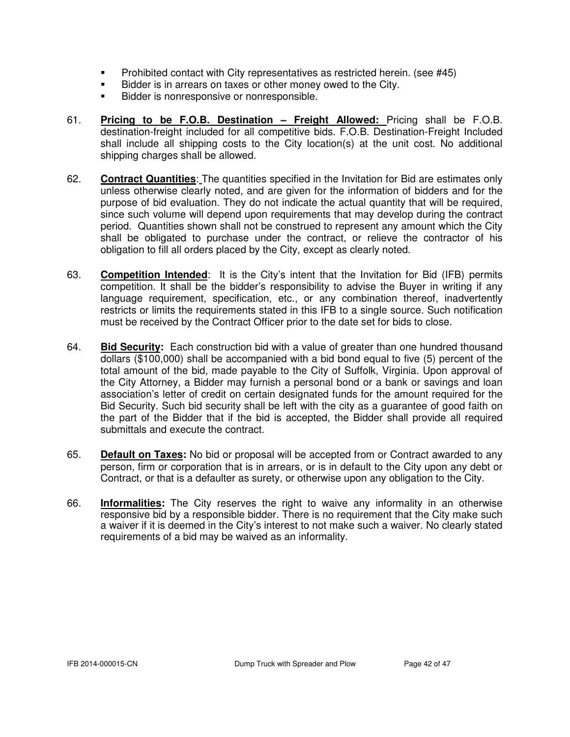- **Perohibited contact with City representatives as restricted herein.** (see #45)
- Bidder is in arrears on taxes or other money owed to the City.
- Bidder is nonresponsive or nonresponsible.
- 61. **Pricing to be F.O.B. Destination Freight Allowed:** Pricing shall be F.O.B. destination-freight included for all competitive bids. F.O.B. Destination-Freight Included shall include all shipping costs to the City location(s) at the unit cost. No additional shipping charges shall be allowed.
- 62. **Contract Quantities**: The quantities specified in the Invitation for Bid are estimates only unless otherwise clearly noted, and are given for the information of bidders and for the purpose of bid evaluation. They do not indicate the actual quantity that will be required, since such volume will depend upon requirements that may develop during the contract period. Quantities shown shall not be construed to represent any amount which the City shall be obligated to purchase under the contract, or relieve the contractor of his obligation to fill all orders placed by the City, except as clearly noted.
- 63. **Competition Intended**: It is the City's intent that the Invitation for Bid (IFB) permits competition. It shall be the bidder's responsibility to advise the Buyer in writing if any language requirement, specification, etc., or any combination thereof, inadvertently restricts or limits the requirements stated in this IFB to a single source. Such notification must be received by the Contract Officer prior to the date set for bids to close.
- 64. **Bid Security:** Each construction bid with a value of greater than one hundred thousand dollars (\$100,000) shall be accompanied with a bid bond equal to five (5) percent of the total amount of the bid, made payable to the City of Suffolk, Virginia. Upon approval of the City Attorney, a Bidder may furnish a personal bond or a bank or savings and loan association's letter of credit on certain designated funds for the amount required for the Bid Security. Such bid security shall be left with the city as a guarantee of good faith on the part of the Bidder that if the bid is accepted, the Bidder shall provide all required submittals and execute the contract.
- 65. **Default on Taxes:** No bid or proposal will be accepted from or Contract awarded to any person, firm or corporation that is in arrears, or is in default to the City upon any debt or Contract, or that is a defaulter as surety, or otherwise upon any obligation to the City.
- 66. **Informalities:** The City reserves the right to waive any informality in an otherwise responsive bid by a responsible bidder. There is no requirement that the City make such a waiver if it is deemed in the City's interest to not make such a waiver. No clearly stated requirements of a bid may be waived as an informality.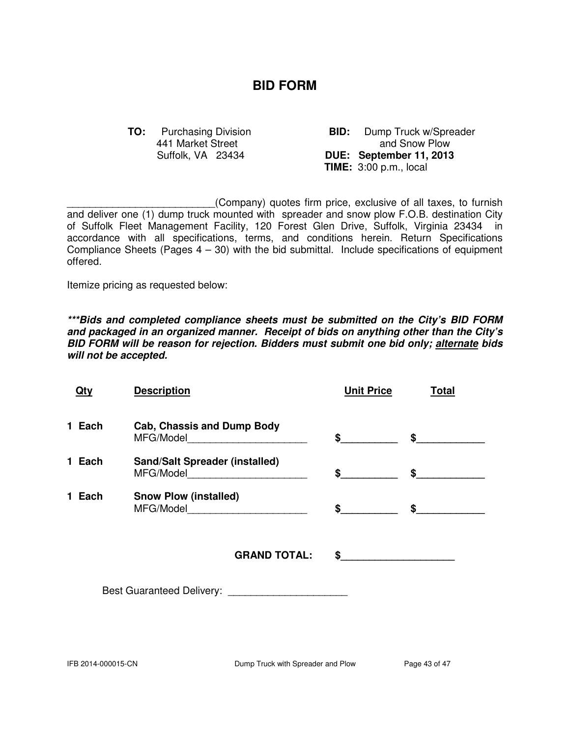# **BID FORM**

441 Market Street

**TO:** Purchasing Division **BID:** Dump Truck w/Spreader<br>441 Market Street **BID:** and Snow Plow Suffolk, VA 23434 **DUE: September 11, 2013 TIME:** 3:00 p.m., local

\_\_\_\_\_\_\_\_\_\_\_\_\_\_\_\_\_\_\_\_\_\_\_\_\_\_(Company) quotes firm price, exclusive of all taxes, to furnish and deliver one (1) dump truck mounted with spreader and snow plow F.O.B. destination City of Suffolk Fleet Management Facility, 120 Forest Glen Drive, Suffolk, Virginia 23434 in accordance with all specifications, terms, and conditions herein. Return Specifications Compliance Sheets (Pages  $4 - 30$ ) with the bid submittal. Include specifications of equipment offered.

Itemize pricing as requested below:

**\*\*\*Bids and completed compliance sheets must be submitted on the City's BID FORM and packaged in an organized manner. Receipt of bids on anything other than the City's BID FORM will be reason for rejection. Bidders must submit one bid only; alternate bids will not be accepted.** 

| <u>Qty</u> | <b>Description</b>                    | <b>Unit Price</b> | <b>Total</b>                       |
|------------|---------------------------------------|-------------------|------------------------------------|
| 1 Each     | <b>Cab, Chassis and Dump Body</b>     |                   | $\sim$ $\sim$ $\sim$ $\sim$ $\sim$ |
| 1 Each     | <b>Sand/Salt Spreader (installed)</b> | \$                | \$                                 |
| 1 Each     | <b>Snow Plow (installed)</b>          | $\sim$            | $\frac{1}{2}$                      |
|            | <b>GRAND TOTAL:</b>                   |                   |                                    |
|            |                                       |                   |                                    |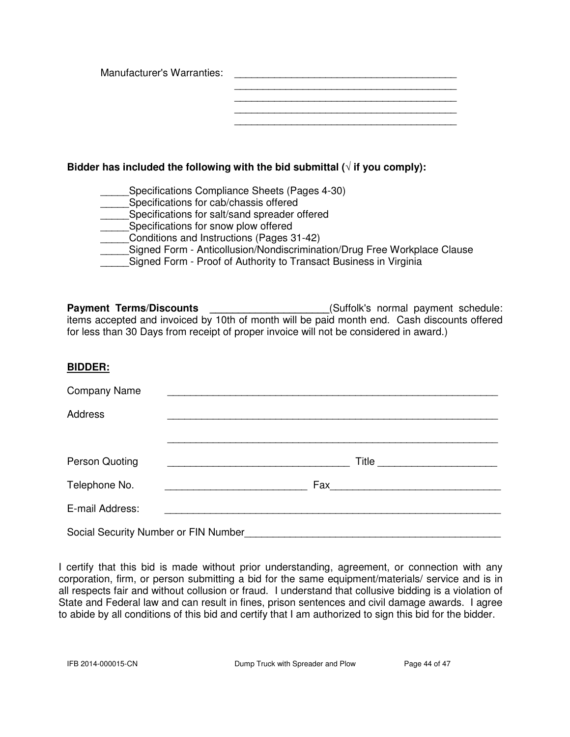| Manufacturer's Warranties: |  |
|----------------------------|--|
|                            |  |
|                            |  |
|                            |  |
|                            |  |
|                            |  |

# Bidder has included the following with the bid submittal  $(\sqrt{t})$  if you comply):

- Specifications Compliance Sheets (Pages 4-30)
- Specifications for cab/chassis offered
- Specifications for salt/sand spreader offered
- **EXECUTE:** Specifications for snow plow offered
- \_\_\_\_\_Conditions and Instructions (Pages 31-42)
- Signed Form Anticollusion/Nondiscrimination/Drug Free Workplace Clause
	- Signed Form Proof of Authority to Transact Business in Virginia

Payment Terms/Discounts \_\_\_\_\_\_\_\_\_\_\_\_\_\_\_\_\_\_\_\_\_\_\_(Suffolk's normal payment schedule: items accepted and invoiced by 10th of month will be paid month end. Cash discounts offered for less than 30 Days from receipt of proper invoice will not be considered in award.)

# **BIDDER:**

| <b>Company Name</b>                  |                                                                                                                 |  |  |
|--------------------------------------|-----------------------------------------------------------------------------------------------------------------|--|--|
| Address                              |                                                                                                                 |  |  |
|                                      |                                                                                                                 |  |  |
| Person Quoting                       | Title                                                                                                           |  |  |
| Telephone No.                        | Fax 2008 2009 2010 2021 2022 2023 2024 2022 2023 2024 2022 2023 2024 2022 2023 2024 2025 2026 2027 2028 2021 20 |  |  |
| E-mail Address:                      |                                                                                                                 |  |  |
| Social Security Number or FIN Number |                                                                                                                 |  |  |

I certify that this bid is made without prior understanding, agreement, or connection with any corporation, firm, or person submitting a bid for the same equipment/materials/ service and is in all respects fair and without collusion or fraud. I understand that collusive bidding is a violation of State and Federal law and can result in fines, prison sentences and civil damage awards. I agree to abide by all conditions of this bid and certify that I am authorized to sign this bid for the bidder.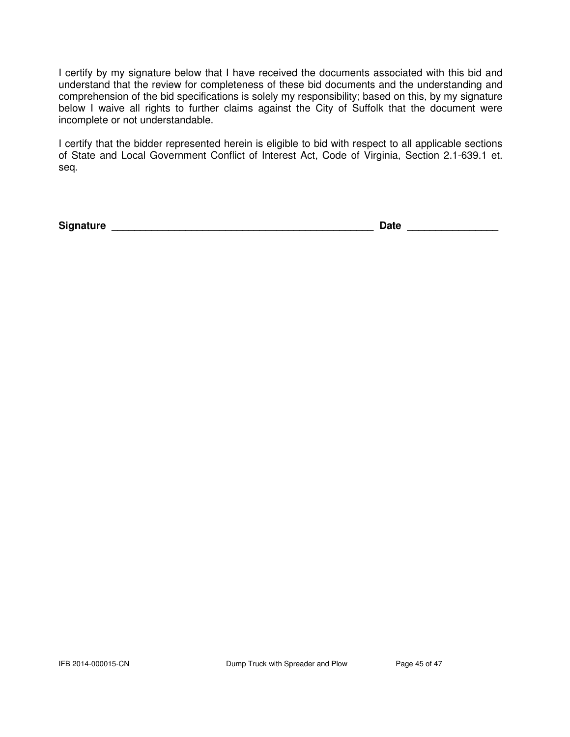I certify by my signature below that I have received the documents associated with this bid and understand that the review for completeness of these bid documents and the understanding and comprehension of the bid specifications is solely my responsibility; based on this, by my signature below I waive all rights to further claims against the City of Suffolk that the document were incomplete or not understandable.

I certify that the bidder represented herein is eligible to bid with respect to all applicable sections of State and Local Government Conflict of Interest Act, Code of Virginia, Section 2.1-639.1 et. seq.

**Signature \_\_\_\_\_\_\_\_\_\_\_\_\_\_\_\_\_\_\_\_\_\_\_\_\_\_\_\_\_\_\_\_\_\_\_\_\_\_\_\_\_\_\_\_\_\_ Date \_\_\_\_\_\_\_\_\_\_\_\_\_\_\_\_**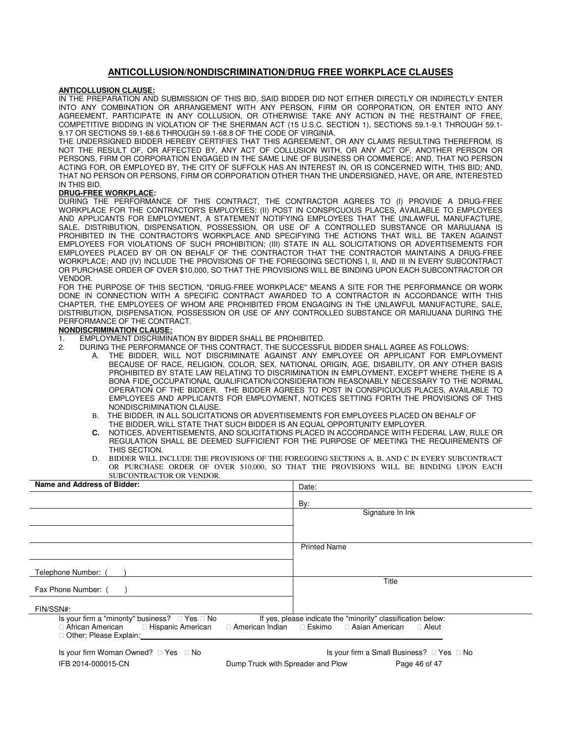#### **ANTICOLLUSION/NONDISCRIMINATION/DRUG FREE WORKPLACE CLAUSES**

#### **ANTICOLLUSION CLAUSE:**

IN THE PREPARATION AND SUBMISSION OF THIS BID, SAID BIDDER DID NOT EITHER DIRECTLY OR INDIRECTLY ENTER INTO ANY COMBINATION OR ARRANGEMENT WITH ANY PERSON, FIRM OR CORPORATION, OR ENTER INTO ANY AGREEMENT, PARTICIPATE IN ANY COLLUSION, OR OTHERWISE TAKE ANY ACTION IN THE RESTRAINT OF FREE, COMPETITIVE BIDDING IN VIOLATION OF THE SHERMAN ACT (15 U.S.C. SECTION 1), SECTIONS 59.1-9.1 THROUGH 59.1- 9.17 OR SECTIONS 59.1-68.6 THROUGH 59.1-68.8 OF THE CODE OF VIRGINIA.

THE UNDERSIGNED BIDDER HEREBY CERTIFIES THAT THIS AGREEMENT, OR ANY CLAIMS RESULTING THEREFROM, IS NOT THE RESULT OF, OR AFFECTED BY, ANY ACT OF COLLUSION WITH, OR ANY ACT OF, ANOTHER PERSON OR PERSONS, FIRM OR CORPORATION ENGAGED IN THE SAME LINE OF BUSINESS OR COMMERCE; AND, THAT NO PERSON ACTING FOR, OR EMPLOYED BY, THE CITY OF SUFFOLK HAS AN INTEREST IN, OR IS CONCERNED WITH, THIS BID; AND, THAT NO PERSON OR PERSONS, FIRM OR CORPORATION OTHER THAN THE UNDERSIGNED, HAVE, OR ARE, INTERESTED IN THIS BID.

#### **DRUG-FREE WORKPLACE:**

DURING THE PERFORMANCE OF THIS CONTRACT, THE CONTRACTOR AGREES TO (I) PROVIDE A DRUG-FREE WORKPLACE FOR THE CONTRACTOR'S EMPLOYEES; (II) POST IN CONSPICUOUS PLACES, AVAILABLE TO EMPLOYEES AND APPLICANTS FOR EMPLOYMENT, A STATEMENT NOTIFYING EMPLOYEES THAT THE UNLAWFUL MANUFACTURE, SALE, DISTRIBUTION, DISPENSATION, POSSESSION, OR USE OF A CONTROLLED SUBSTANCE OR MARIJUANA IS PROHIBITED IN THE CONTRACTOR'S WORKPLACE AND SPECIFYING THE ACTIONS THAT WILL BE TAKEN AGAINST EMPLOYEES FOR VIOLATIONS OF SUCH PROHIBITION; (III) STATE IN ALL SOLICITATIONS OR ADVERTISEMENTS FOR EMPLOYEES PLACED BY OR ON BEHALF OF THE CONTRACTOR THAT THE CONTRACTOR MAINTAINS A DRUG-FREE WORKPLACE; AND (IV) INCLUDE THE PROVISIONS OF THE FOREGOING SECTIONS I, II, AND III IN EVERY SUBCONTRACT OR PURCHASE ORDER OF OVER \$10,000, SO THAT THE PROVISIONS WILL BE BINDING UPON EACH SUBCONTRACTOR OR VENDOR.

FOR THE PURPOSE OF THIS SECTION, "DRUG-FREE WORKPLACE" MEANS A SITE FOR THE PERFORMANCE OR WORK DONE IN CONNECTION WITH A SPECIFIC CONTRACT AWARDED TO A CONTRACTOR IN ACCORDANCE WITH THIS CHAPTER, THE EMPLOYEES OF WHOM ARE PROHIBITED FROM ENGAGING IN THE UNLAWFUL MANUFACTURE, SALE, DISTRIBUTION, DISPENSATION, POSSESSION OR USE OF ANY CONTROLLED SUBSTANCE OR MARIJUANA DURING THE PERFORMANCE OF THE CONTRACT.

#### **NONDISCRIMINATION CLAUSE:**

1. EMPLOYMENT DISCRIMINATION BY BIDDER SHALL BE PROHIBITED.<br>2. DURING THE PERFORMANCE OF THIS CONTRACT. THE SUCCESSFU

- 2. DURING THE PERFORMANCE OF THIS CONTRACT, THE SUCCESSFUL BIDDER SHALL AGREE AS FOLLOWS:
	- A. THE BIDDER, WILL NOT DISCRIMINATE AGAINST ANY EMPLOYEE OR APPLICANT FOR EMPLOYMENT BECAUSE OF RACE, RELIGION, COLOR, SEX, NATIONAL ORIGIN, AGE, DISABILITY, OR ANY OTHER BASIS PROHIBITED BY STATE LAW RELATING TO DISCRIMINATION IN EMPLOYMENT, EXCEPT WHERE THERE IS A BONA FIDE OCCUPATIONAL QUALIFICATION/CONSIDERATION REASONABLY NECESSARY TO THE NORMAL OPERATION OF THE BIDDER. THE BIDDER AGREES TO POST IN CONSPICUOUS PLACES, AVAILABLE TO EMPLOYEES AND APPLICANTS FOR EMPLOYMENT, NOTICES SETTING FORTH THE PROVISIONS OF THIS NONDISCRIMINATION CLAUSE.
	- B. THE BIDDER, IN ALL SOLICITATIONS OR ADVERTISEMENTS FOR EMPLOYEES PLACED ON BEHALF OF THE BIDDER, WILL STATE THAT SUCH BIDDER IS AN EQUAL OPPORTUNITY EMPLOYER.
	- **C.** NOTICES, ADVERTISEMENTS, AND SOLICITATIONS PLACED IN ACCORDANCE WITH FEDERAL LAW, RULE OR REGULATION SHALL BE DEEMED SUFFICIENT FOR THE PURPOSE OF MEETING THE REQUIREMENTS OF THIS SECTION.
	- D. BIDDER WILL INCLUDE THE PROVISIONS OF THE FOREGOING SECTIONS A, B, AND C IN EVERY SUBCONTRACT OR PURCHASE ORDER OF OVER \$10,000, SO THAT THE PROVISIONS WILL BE BINDING UPON EACH SUBCONTRACTOR OR VENDOR.

| Name and Address of Bidder:                                                                                                         | Date:                                                                                             |  |
|-------------------------------------------------------------------------------------------------------------------------------------|---------------------------------------------------------------------------------------------------|--|
|                                                                                                                                     | By:                                                                                               |  |
|                                                                                                                                     | Signature In Ink                                                                                  |  |
|                                                                                                                                     |                                                                                                   |  |
|                                                                                                                                     | <b>Printed Name</b>                                                                               |  |
| Telephone Number: (                                                                                                                 |                                                                                                   |  |
| Fax Phone Number: (                                                                                                                 | Title                                                                                             |  |
| FIN/SSN#:                                                                                                                           |                                                                                                   |  |
| Yes No<br>Is your firm a "minority" business?<br>African American<br>Hispanic American<br>American Indian<br>Other; Please Explain: | If yes, please indicate the "minority" classification below:<br>Eskimo<br>Asian American<br>Aleut |  |
| Is your firm Woman Owned?<br>No<br>Yes                                                                                              | Is your firm a Small Business? Yes<br>No                                                          |  |
| IFB 2014-000015-CN<br>Dump Truck with Spreader and Plow                                                                             | Page 46 of 47                                                                                     |  |